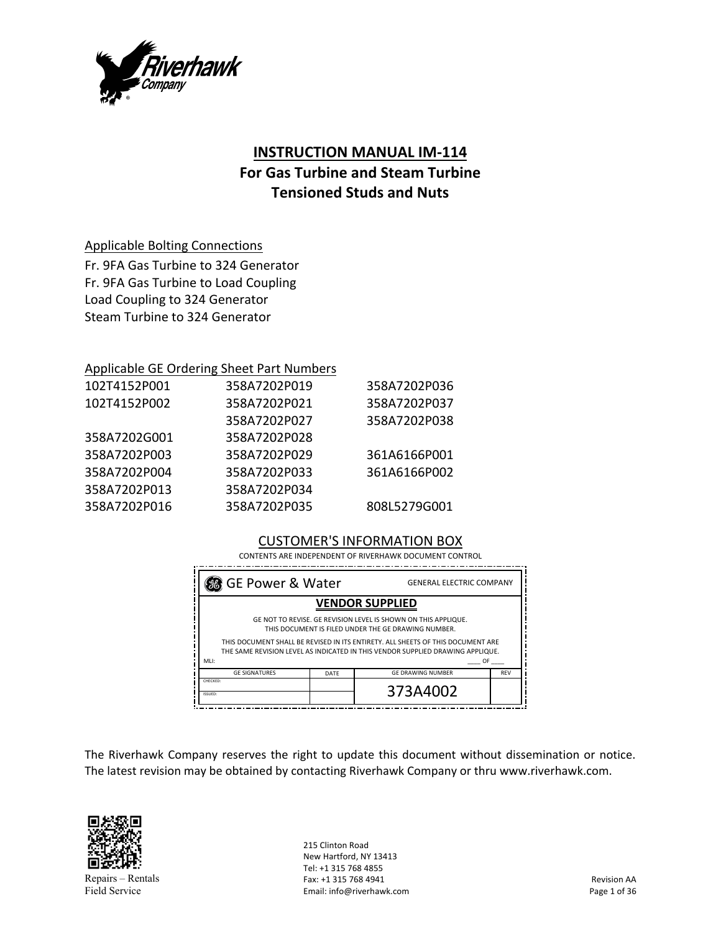

# **INSTRUCTION MANUAL IM‐114**

# **For Gas Turbine and Steam Turbine Tensioned Studs and Nuts**

Applicable Bolting Connections

Fr. 9FA Gas Turbine to 324 Generator Fr. 9FA Gas Turbine to Load Coupling Load Coupling to 324 Generator Steam Turbine to 324 Generator

# Applicable GE Ordering Sheet Part Numbers

| 102T4152P001 | 358A7202P019 | 358A7202P036 |
|--------------|--------------|--------------|
| 102T4152P002 | 358A7202P021 | 358A7202P037 |
|              | 358A7202P027 | 358A7202P038 |
| 358A7202G001 | 358A7202P028 |              |
| 358A7202P003 | 358A7202P029 | 361A6166P001 |
| 358A7202P004 | 358A7202P033 | 361A6166P002 |
| 358A7202P013 | 358A7202P034 |              |
| 358A7202P016 | 358A7202P035 | 808L5279G001 |

# CUSTOMER'S INFORMATION BOX

| % GE Power & Water                                                                                                                                                      |      | <b>GENERAL ELECTRIC COMPANY</b> |            |
|-------------------------------------------------------------------------------------------------------------------------------------------------------------------------|------|---------------------------------|------------|
| <b>VENDOR SUPPLIED</b>                                                                                                                                                  |      |                                 |            |
| GE NOT TO REVISE. GE REVISION LEVEL IS SHOWN ON THIS APPLIQUE.<br>THIS DOCUMENT IS FILED UNDER THE GE DRAWING NUMBER.                                                   |      |                                 |            |
| THIS DOCUMENT SHALL BE REVISED IN ITS ENTIRETY. ALL SHEETS OF THIS DOCUMENT ARE<br>THE SAME REVISION LEVEL AS INDICATED IN THIS VENDOR SUPPLIED DRAWING APPLIQUE.<br>OF |      |                                 |            |
| MLI:<br><b>GE SIGNATURES</b>                                                                                                                                            | DATE | <b>GE DRAWING NUMBER</b>        | <b>REV</b> |
| CHECKED:<br>ISSUED:                                                                                                                                                     |      | 373A4002                        |            |

The Riverhawk Company reserves the right to update this document without dissemination or notice. The latest revision may be obtained by contacting Riverhawk Company or thru www.riverhawk.com.



215 Clinton Road New Hartford, NY 13413 Tel: +1 315 768 4855 Fax: +1 315 768 4941 Email: info@riverhawk.com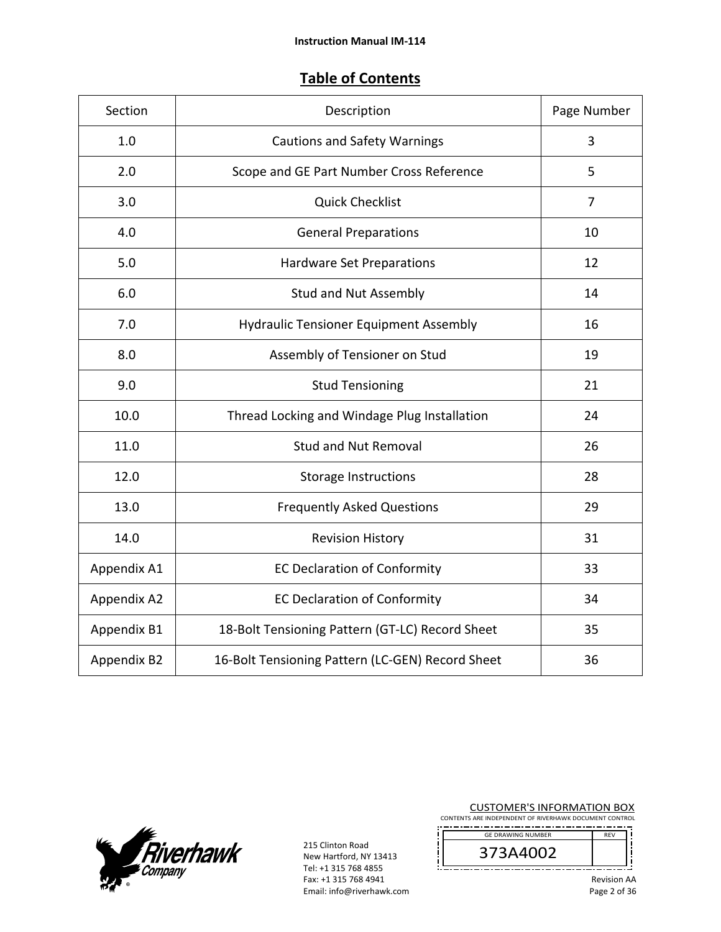# **Table of Contents**

| Section     | Description                                      | Page Number |
|-------------|--------------------------------------------------|-------------|
| 1.0         | <b>Cautions and Safety Warnings</b>              | 3           |
| 2.0         | Scope and GE Part Number Cross Reference         | 5           |
| 3.0         | <b>Quick Checklist</b>                           | 7           |
| 4.0         | <b>General Preparations</b>                      | 10          |
| 5.0         | <b>Hardware Set Preparations</b>                 | 12          |
| 6.0         | <b>Stud and Nut Assembly</b>                     | 14          |
| 7.0         | <b>Hydraulic Tensioner Equipment Assembly</b>    | 16          |
| 8.0         | Assembly of Tensioner on Stud                    | 19          |
| 9.0         | <b>Stud Tensioning</b>                           | 21          |
| 10.0        | Thread Locking and Windage Plug Installation     | 24          |
| 11.0        | <b>Stud and Nut Removal</b>                      | 26          |
| 12.0        | Storage Instructions                             | 28          |
| 13.0        | <b>Frequently Asked Questions</b>                | 29          |
| 14.0        | <b>Revision History</b>                          | 31          |
| Appendix A1 | <b>EC Declaration of Conformity</b>              | 33          |
| Appendix A2 | <b>EC Declaration of Conformity</b>              | 34          |
| Appendix B1 | 18-Bolt Tensioning Pattern (GT-LC) Record Sheet  | 35          |
| Appendix B2 | 16-Bolt Tensioning Pattern (LC-GEN) Record Sheet | 36          |



215 Clinton Road New Hartford, NY 13413 Tel: +1 315 768 4855 Fax: +1 315 768 4941 Email: info@riverhawk.com Ĩ

||<br>!

CUSTOMER'S INFORMATION BOX CONTENTS ARE INDEPENDENT OF RIVERHAWK DOCUMENT CONTROL

| <b>GE DRAWING NUMBER</b> | <b>RFV</b> |
|--------------------------|------------|
| UZ.<br>⊃                 |            |
|                          |            |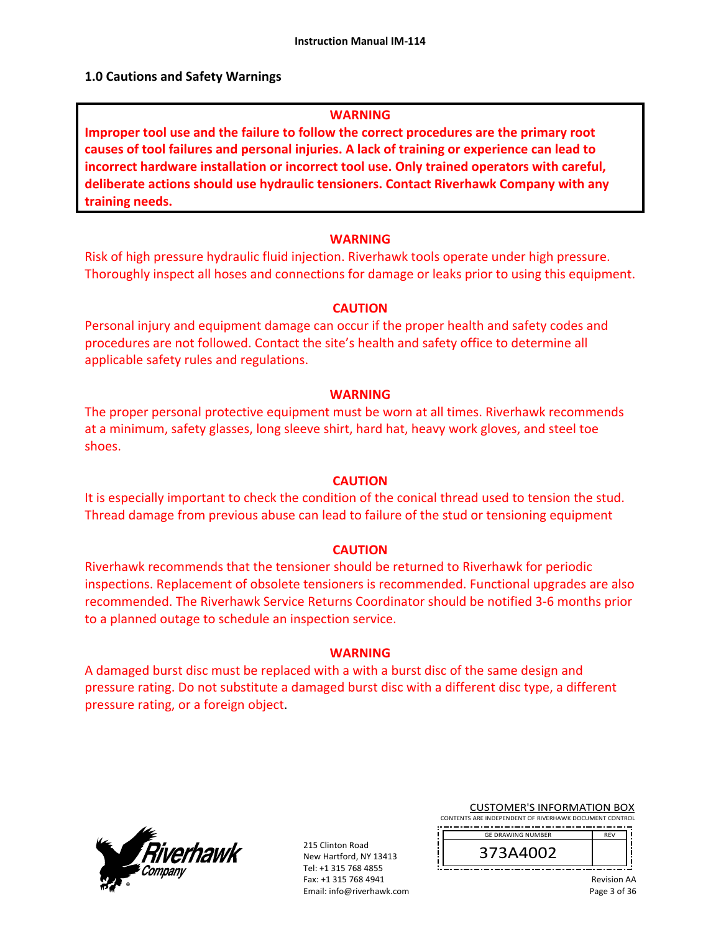#### **1.0 Cautions and Safety Warnings**

#### **WARNING**

**Improper tool use and the failure to follow the correct procedures are the primary root causes of tool failures and personal injuries. A lack of training or experience can lead to incorrect hardware installation or incorrect tool use. Only trained operators with careful, deliberate actions should use hydraulic tensioners. Contact Riverhawk Company with any training needs.** 

#### **WARNING**

Risk of high pressure hydraulic fluid injection. Riverhawk tools operate under high pressure. Thoroughly inspect all hoses and connections for damage or leaks prior to using this equipment.

#### **CAUTION**

Personal injury and equipment damage can occur if the proper health and safety codes and procedures are not followed. Contact the site's health and safety office to determine all applicable safety rules and regulations.

#### **WARNING**

The proper personal protective equipment must be worn at all times. Riverhawk recommends at a minimum, safety glasses, long sleeve shirt, hard hat, heavy work gloves, and steel toe shoes.

#### **CAUTION**

It is especially important to check the condition of the conical thread used to tension the stud. Thread damage from previous abuse can lead to failure of the stud or tensioning equipment

#### **CAUTION**

Riverhawk recommends that the tensioner should be returned to Riverhawk for periodic inspections. Replacement of obsolete tensioners is recommended. Functional upgrades are also recommended. The Riverhawk Service Returns Coordinator should be notified 3‐6 months prior to a planned outage to schedule an inspection service.

#### **WARNING**

A damaged burst disc must be replaced with a with a burst disc of the same design and pressure rating. Do not substitute a damaged burst disc with a different disc type, a different pressure rating, or a foreign object.



215 Clinton Road New Hartford, NY 13413 Tel: +1 315 768 4855 Fax: +1 315 768 4941 Email: info@riverhawk.com CUSTOMER'S INFORMATION BOX

CONTENTS ARE INDEPENDENT OF RIVERHAWK DOCUMENT CONTROL 

| <b>GE DRAWING NUMBER</b> |  |
|--------------------------|--|
| 373A4002                 |  |
|                          |  |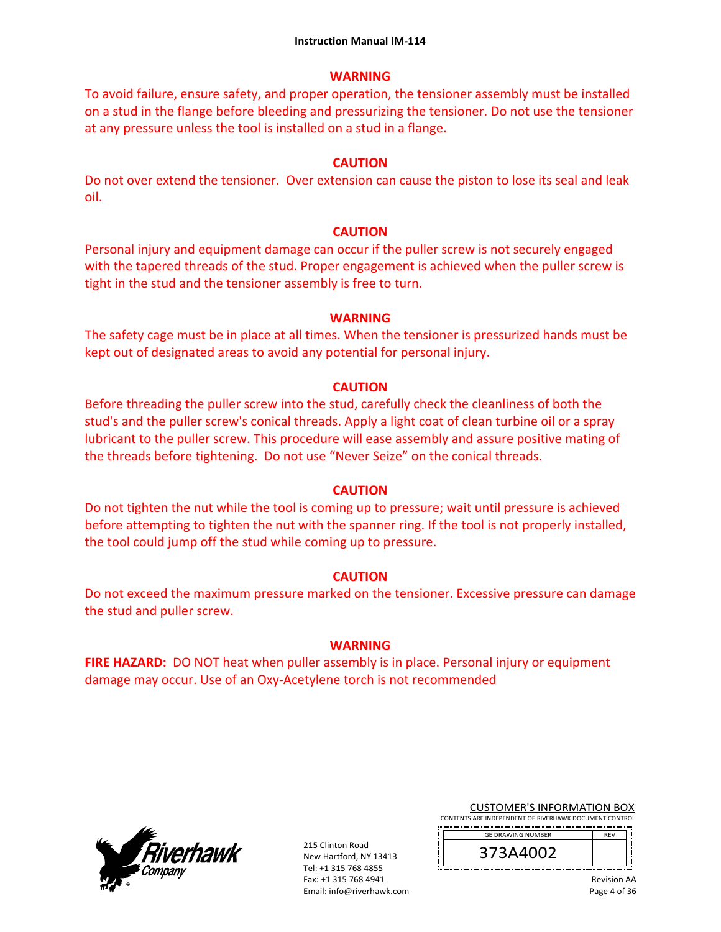### **WARNING**

To avoid failure, ensure safety, and proper operation, the tensioner assembly must be installed on a stud in the flange before bleeding and pressurizing the tensioner. Do not use the tensioner at any pressure unless the tool is installed on a stud in a flange.

#### **CAUTION**

Do not over extend the tensioner. Over extension can cause the piston to lose its seal and leak oil.

#### **CAUTION**

Personal injury and equipment damage can occur if the puller screw is not securely engaged with the tapered threads of the stud. Proper engagement is achieved when the puller screw is tight in the stud and the tensioner assembly is free to turn.

#### **WARNING**

The safety cage must be in place at all times. When the tensioner is pressurized hands must be kept out of designated areas to avoid any potential for personal injury.

#### **CAUTION**

Before threading the puller screw into the stud, carefully check the cleanliness of both the stud's and the puller screw's conical threads. Apply a light coat of clean turbine oil or a spray lubricant to the puller screw. This procedure will ease assembly and assure positive mating of the threads before tightening. Do not use "Never Seize" on the conical threads.

#### **CAUTION**

Do not tighten the nut while the tool is coming up to pressure; wait until pressure is achieved before attempting to tighten the nut with the spanner ring. If the tool is not properly installed, the tool could jump off the stud while coming up to pressure.

### **CAUTION**

Do not exceed the maximum pressure marked on the tensioner. Excessive pressure can damage the stud and puller screw.

#### **WARNING**

**FIRE HAZARD:** DO NOT heat when puller assembly is in place. Personal injury or equipment damage may occur. Use of an Oxy‐Acetylene torch is not recommended



215 Clinton Road New Hartford, NY 13413 Tel: +1 315 768 4855 Fax: +1 315 768 4941 Email: info@riverhawk.com CUSTOMER'S INFORMATION BOX

CONTENTS ARE INDEPENDENT OF RIVERHAWK DOCUMENT CONTROL 

| <b>GF DRAWING NUMBER</b> |  |
|--------------------------|--|
| 373A4002                 |  |
|                          |  |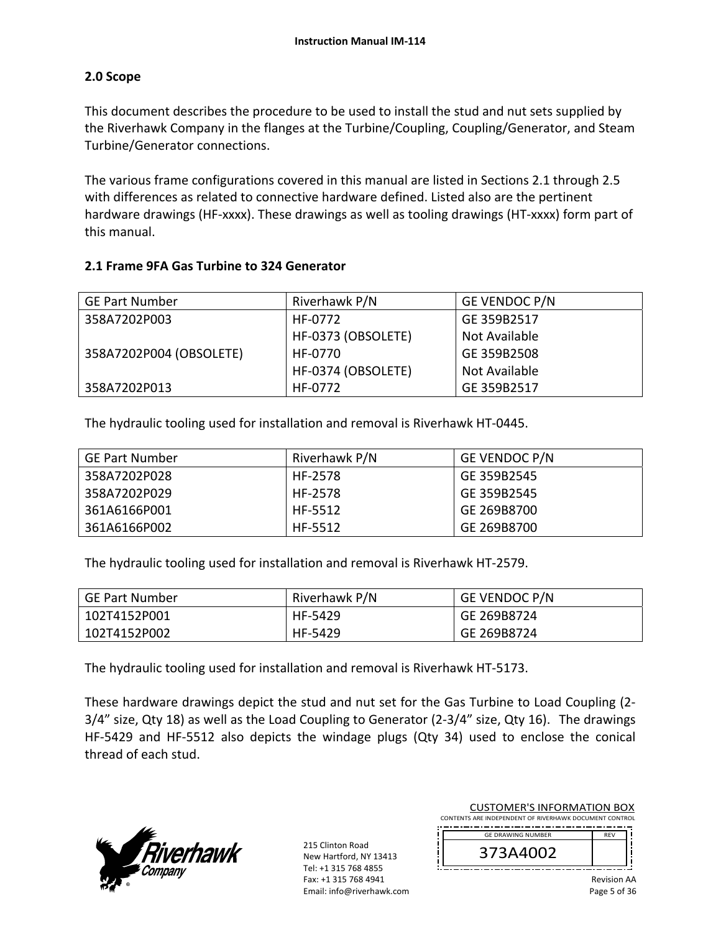# **2.0 Scope**

This document describes the procedure to be used to install the stud and nut sets supplied by the Riverhawk Company in the flanges at the Turbine/Coupling, Coupling/Generator, and Steam Turbine/Generator connections.

The various frame configurations covered in this manual are listed in Sections 2.1 through 2.5 with differences as related to connective hardware defined. Listed also are the pertinent hardware drawings (HF-xxxx). These drawings as well as tooling drawings (HT-xxxx) form part of this manual.

# **2.1 Frame 9FA Gas Turbine to 324 Generator**

| <b>GE Part Number</b>   | Riverhawk P/N      | <b>GE VENDOC P/N</b> |
|-------------------------|--------------------|----------------------|
| 358A7202P003            | HF-0772            | GE 359B2517          |
|                         | HF-0373 (OBSOLETE) | Not Available        |
| 358A7202P004 (OBSOLETE) | HF-0770            | GE 359B2508          |
|                         | HF-0374 (OBSOLETE) | Not Available        |
| 358A7202P013            | HF-0772            | GE 359B2517          |

The hydraulic tooling used for installation and removal is Riverhawk HT‐0445.

| <b>GE Part Number</b> | Riverhawk P/N | <b>GE VENDOC P/N</b> |
|-----------------------|---------------|----------------------|
| 358A7202P028          | HF-2578       | GE 359B2545          |
| 358A7202P029          | HF-2578       | GE 359B2545          |
| 361A6166P001          | HF-5512       | GE 269B8700          |
| 361A6166P002          | HF-5512       | GE 269B8700          |

The hydraulic tooling used for installation and removal is Riverhawk HT‐2579.

| GE Part Number | Riverhawk P/N | <b>GE VENDOC P/N</b> |
|----------------|---------------|----------------------|
| 102T4152P001   | HF-5429       | GE 269B8724          |
| 102T4152P002   | HF-5429       | GE 269B8724          |

The hydraulic tooling used for installation and removal is Riverhawk HT‐5173.

These hardware drawings depict the stud and nut set for the Gas Turbine to Load Coupling (2‐ 3/4" size, Qty 18) as well as the Load Coupling to Generator (2‐3/4" size, Qty 16). The drawings HF-5429 and HF-5512 also depicts the windage plugs (Qty 34) used to enclose the conical thread of each stud.



215 Clinton Road New Hartford, NY 13413 Tel: +1 315 768 4855 Fax: +1 315 768 4941 Email: info@riverhawk.com

| <b>CUSTOMER'S INFORMATION BOX</b>                      |
|--------------------------------------------------------|
| CONTENTS ARE INDEPENDENT OF RIVERHAWK DOCUMENT CONTROL |
|                                                        |

| <b>GE DRAWING NUMBER</b> | <b>REV</b> |
|--------------------------|------------|
| 73A4002'                 |            |
|                          |            |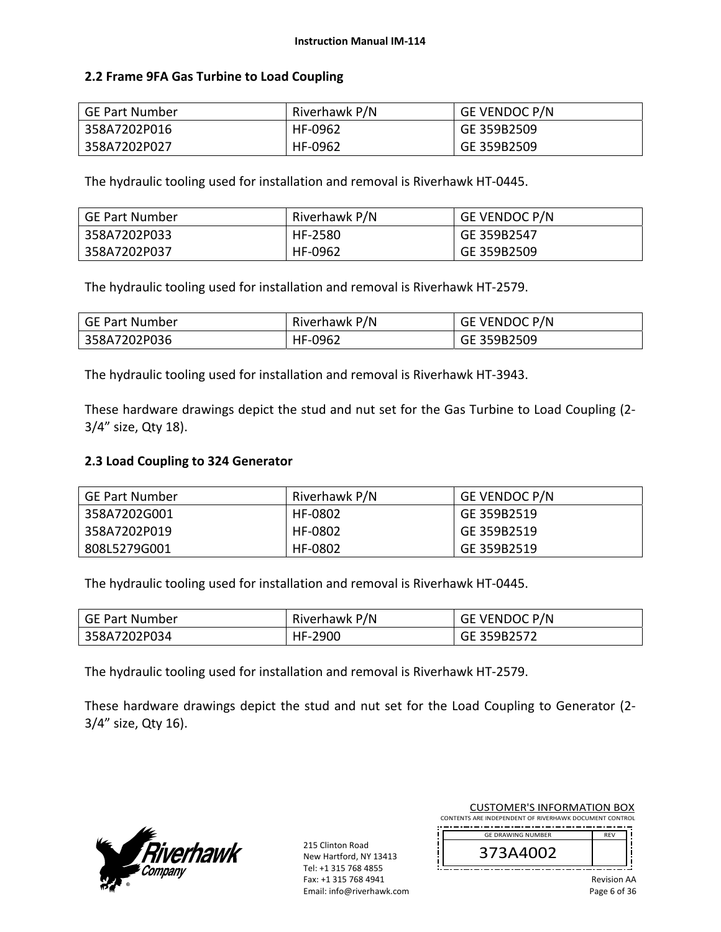### **2.2 Frame 9FA Gas Turbine to Load Coupling**

| GE Part Number | Riverhawk P/N | <b>GE VENDOC P/N</b> |
|----------------|---------------|----------------------|
| 358A7202P016   | HF-0962       | GE 359B2509          |
| 358A7202P027   | HF-0962       | GE 359B2509          |

The hydraulic tooling used for installation and removal is Riverhawk HT‐0445.

| GE Part Number | Riverhawk P/N | <b>GE VENDOC P/N</b> |
|----------------|---------------|----------------------|
| 358A7202P033   | HF-2580       | GE 359B2547          |
| 358A7202P037   | HF-0962       | GE 359B2509          |

The hydraulic tooling used for installation and removal is Riverhawk HT‐2579.

| GE Part Number | Riverhawk P/N | GE VENDOC P/N |
|----------------|---------------|---------------|
| 358A7202P036   | HF-0962       | GE 359B2509   |

The hydraulic tooling used for installation and removal is Riverhawk HT‐3943.

These hardware drawings depict the stud and nut set for the Gas Turbine to Load Coupling (2‐ 3/4" size, Qty 18).

#### **2.3 Load Coupling to 324 Generator**

| GE Part Number | Riverhawk P/N | <b>GE VENDOC P/N</b> |
|----------------|---------------|----------------------|
| 358A7202G001   | HF-0802       | GE 359B2519          |
| 358A7202P019   | HF-0802       | GE 359B2519          |
| 808L5279G001   | HF-0802       | GE 359B2519          |

The hydraulic tooling used for installation and removal is Riverhawk HT‐0445.

| <b>GE Part Number</b> | Riverhawk P/N | <b>GE VENDOC P/N</b> |
|-----------------------|---------------|----------------------|
| 358A7202P034          | HF-2900       | GE 359B2572          |

The hydraulic tooling used for installation and removal is Riverhawk HT‐2579.

These hardware drawings depict the stud and nut set for the Load Coupling to Generator (2-3/4" size, Qty 16).



215 Clinton Road New Hartford, NY 13413 Tel: +1 315 768 4855 Fax: +1 315 768 4941 Email: info@riverhawk.com

| <b>GE DRAWING NUMBER</b> | <b>RFV</b> |
|--------------------------|------------|
| 373A4002                 |            |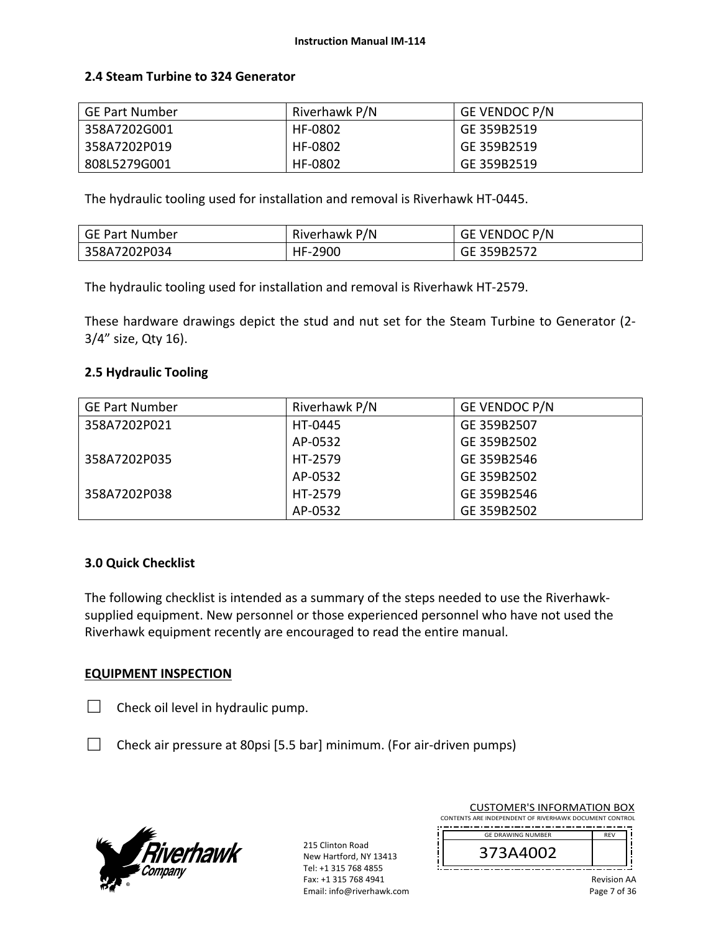### **2.4 Steam Turbine to 324 Generator**

| <b>GE Part Number</b> | Riverhawk P/N | <b>GE VENDOC P/N</b> |
|-----------------------|---------------|----------------------|
| 358A7202G001          | HF-0802       | GE 359B2519          |
| 358A7202P019          | HF-0802       | GE 359B2519          |
| 808L5279G001          | HF-0802       | GE 359B2519          |

The hydraulic tooling used for installation and removal is Riverhawk HT‐0445.

| GE Part Number | Riverhawk P/N | <b>GE VENDOC P/N</b> |
|----------------|---------------|----------------------|
| 358A7202P034   | HF-2900       | GE 359B2572          |

The hydraulic tooling used for installation and removal is Riverhawk HT‐2579.

These hardware drawings depict the stud and nut set for the Steam Turbine to Generator (2‐ 3/4" size, Qty 16).

### **2.5 Hydraulic Tooling**

| <b>GE Part Number</b> | Riverhawk P/N | GE VENDOC P/N |
|-----------------------|---------------|---------------|
| 358A7202P021          | HT-0445       | GE 359B2507   |
|                       | AP-0532       | GE 359B2502   |
| 358A7202P035          | HT-2579       | GE 359B2546   |
|                       | AP-0532       | GE 359B2502   |
| 358A7202P038          | HT-2579       | GE 359B2546   |
|                       | AP-0532       | GE 359B2502   |

### **3.0 Quick Checklist**

The following checklist is intended as a summary of the steps needed to use the Riverhawk‐ supplied equipment. New personnel or those experienced personnel who have not used the Riverhawk equipment recently are encouraged to read the entire manual.

### **EQUIPMENT INSPECTION**

 $\Box$  Check oil level in hydraulic pump.

□ Check air pressure at 80psi [5.5 bar] minimum. (For air-driven pumps)



215 Clinton Road New Hartford, NY 13413 Tel: +1 315 768 4855 Fax: +1 315 768 4941 Email: info@riverhawk.com

CUSTOMER'S INFORMATION BOX CONTENTS ARE INDEPENDENT OF RIVERHAWK DOCUMENT CONTROL

| <b>GF DRAWING NUMBER</b> | <b>REV</b> |
|--------------------------|------------|
| 373A4002                 |            |
|                          |            |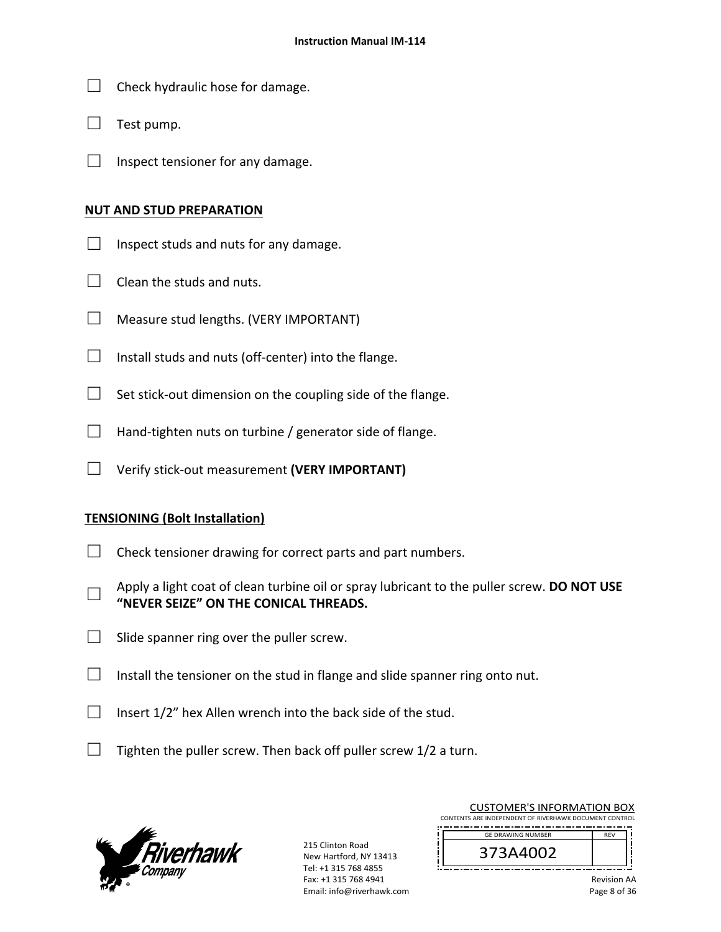- $\Box$  Check hydraulic hose for damage.
- $\Box$  Test pump.
- $\Box$  Inspect tensioner for any damage.

#### **NUT AND STUD PREPARATION**

- $\Box$  Inspect studs and nuts for any damage.
- $\Box$  Clean the studs and nuts.
- □ Measure stud lengths. (VERY IMPORTANT)
- $\Box$  Install studs and nuts (off-center) into the flange.
- $\Box$  Set stick-out dimension on the coupling side of the flange.
- $\Box$  Hand-tighten nuts on turbine / generator side of flange.
- □ Verify stick‐out measurement **(VERY IMPORTANT)**

### **TENSIONING (Bolt Installation)**

- $\Box$  Check tensioner drawing for correct parts and part numbers.
- □ Apply a light coat of clean turbine oil or spray lubricant to the puller screw. **DO NOT USE "NEVER SEIZE" ON THE CONICAL THREADS.**
- $\Box$  Slide spanner ring over the puller screw.
- $\Box$  Install the tensioner on the stud in flange and slide spanner ring onto nut.
- $\Box$  Insert 1/2" hex Allen wrench into the back side of the stud.
- $\Box$  Tighten the puller screw. Then back off puller screw 1/2 a turn.



215 Clinton Road New Hartford, NY 13413 Tel: +1 315 768 4855 Fax: +1 315 768 4941 Email: info@riverhawk.com

| <b>CUSTOMER'S INFORMATION BOX</b>                      |
|--------------------------------------------------------|
| CONTENTS ARE INDEPENDENT OF RIVERHAWK DOCUMENT CONTROL |
|                                                        |

| <b>GF DRAWING NUMBER</b> | <b>RFV</b> |
|--------------------------|------------|
| 373A4002                 |            |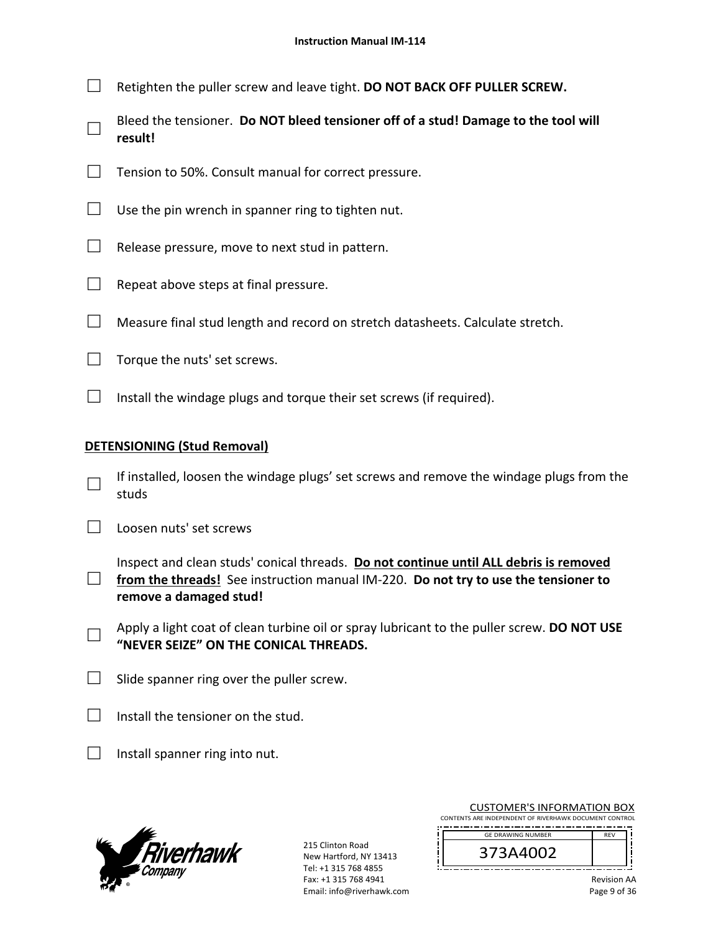- □ Retighten the puller screw and leave tight. **DO NOT BACK OFF PULLER SCREW.**
- □ Bleed the tensioner. **Do NOT bleed tensioner off of a stud! Damage to the tool will result!**
- $\Box$  Tension to 50%. Consult manual for correct pressure.
- $\Box$  Use the pin wrench in spanner ring to tighten nut.
- $\Box$  Release pressure, move to next stud in pattern.
- $\Box$  Repeat above steps at final pressure.
- $\Box$  Measure final stud length and record on stretch datasheets. Calculate stretch.
- $\Box$  Torque the nuts' set screws.
- $\Box$  Install the windage plugs and torque their set screws (if required).

#### **DETENSIONING (Stud Removal)**

- □ If installed, loosen the windage plugs' set screws and remove the windage plugs from the studs
- $\Box$  Loosen nuts' set screws
- □ from the threads! See instruction manual IM-220. **Do not try to use the tensioner to** Inspect and clean studs' conical threads. **Do not continue until ALL debris is removed remove a damaged stud!**
- □ Apply a light coat of clean turbine oil or spray lubricant to the puller screw. **DO NOT USE "NEVER SEIZE" ON THE CONICAL THREADS.**
- $\Box$  Slide spanner ring over the puller screw.
- $\Box$  Install the tensioner on the stud.
- $\Box$  Install spanner ring into nut.



215 Clinton Road New Hartford, NY 13413 Tel: +1 315 768 4855 Fax: +1 315 768 4941 Email: info@riverhawk.com

CUSTOMER'S INFORMATION BOX CONTENTS ARE INDEPENDENT OF RIVERHAWK DOCUMENT CONTROL

| <b>GF DRAWING NUMBER</b> |  |
|--------------------------|--|
| 373A4002                 |  |
|                          |  |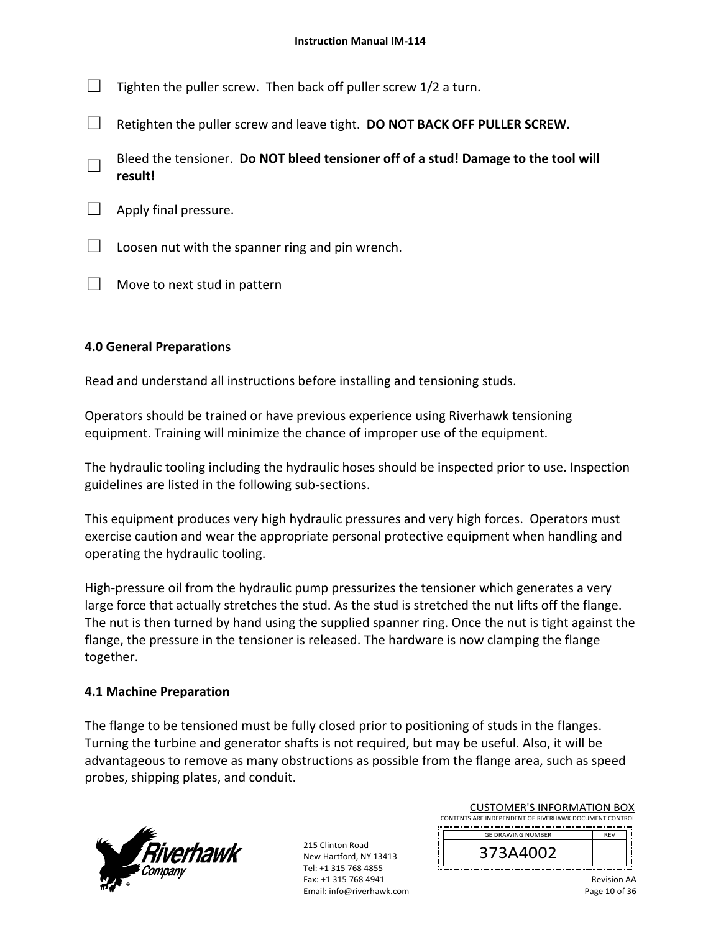- $\Box$  Tighten the puller screw. Then back off puller screw 1/2 a turn.
- □ Retighten the puller screw and leave tight. **DO NOT BACK OFF PULLER SCREW.**
- □ Bleed the tensioner. **Do NOT bleed tensioner off of a stud! Damage to the tool will result!**
- $\Box$  Apply final pressure.
- $\Box$  Loosen nut with the spanner ring and pin wrench.
- $\Box$  Move to next stud in pattern

### **4.0 General Preparations**

Read and understand all instructions before installing and tensioning studs.

Operators should be trained or have previous experience using Riverhawk tensioning equipment. Training will minimize the chance of improper use of the equipment.

The hydraulic tooling including the hydraulic hoses should be inspected prior to use. Inspection guidelines are listed in the following sub‐sections.

This equipment produces very high hydraulic pressures and very high forces. Operators must exercise caution and wear the appropriate personal protective equipment when handling and operating the hydraulic tooling.

High-pressure oil from the hydraulic pump pressurizes the tensioner which generates a very large force that actually stretches the stud. As the stud is stretched the nut lifts off the flange. The nut is then turned by hand using the supplied spanner ring. Once the nut is tight against the flange, the pressure in the tensioner is released. The hardware is now clamping the flange together.

### **4.1 Machine Preparation**

The flange to be tensioned must be fully closed prior to positioning of studs in the flanges. Turning the turbine and generator shafts is not required, but may be useful. Also, it will be advantageous to remove as many obstructions as possible from the flange area, such as speed probes, shipping plates, and conduit.



215 Clinton Road New Hartford, NY 13413 Tel: +1 315 768 4855 Fax: +1 315 768 4941 Email: info@riverhawk.com

| <b>GE DRAWING NUMBER</b> | <b>RFV</b> |
|--------------------------|------------|
| 373A4002                 |            |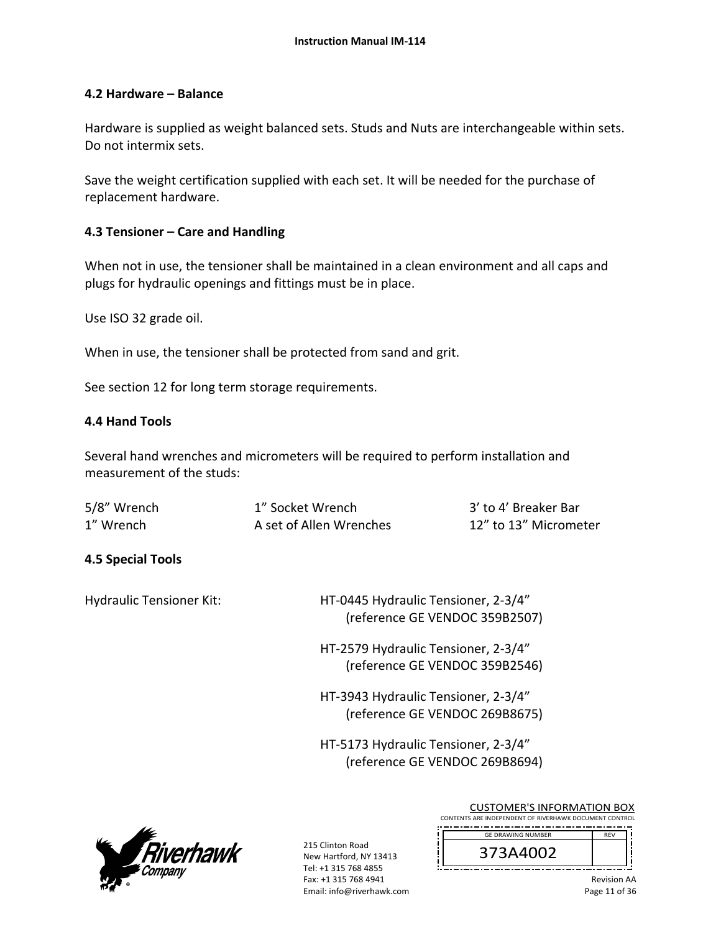### **4.2 Hardware – Balance**

Hardware is supplied as weight balanced sets. Studs and Nuts are interchangeable within sets. Do not intermix sets.

Save the weight certification supplied with each set. It will be needed for the purchase of replacement hardware.

# **4.3 Tensioner – Care and Handling**

When not in use, the tensioner shall be maintained in a clean environment and all caps and plugs for hydraulic openings and fittings must be in place.

Use ISO 32 grade oil.

When in use, the tensioner shall be protected from sand and grit.

See section 12 for long term storage requirements.

#### **4.4 Hand Tools**

Several hand wrenches and micrometers will be required to perform installation and measurement of the studs:

| 5/8" Wrench | 1" Socket Wrench        | 3' to 4' Breaker Bar  |
|-------------|-------------------------|-----------------------|
| 1" Wrench   | A set of Allen Wrenches | 12" to 13" Micrometer |

### **4.5 Special Tools**

Hydraulic Tensioner Kit: 
HT-0445 Hydraulic Tensioner, 2-3/4" (reference GE VENDOC 359B2507)

> HT‐2579 Hydraulic Tensioner, 2‐3/4" (reference GE VENDOC 359B2546)

> HT‐3943 Hydraulic Tensioner, 2‐3/4" (reference GE VENDOC 269B8675)

> HT‐5173 Hydraulic Tensioner, 2‐3/4" (reference GE VENDOC 269B8694)



215 Clinton Road New Hartford, NY 13413 Tel: +1 315 768 4855 Fax: +1 315 768 4941 Email: info@riverhawk.com

| <b>GE DRAWING NUMBER</b> |  |
|--------------------------|--|
| 373A4002                 |  |
|                          |  |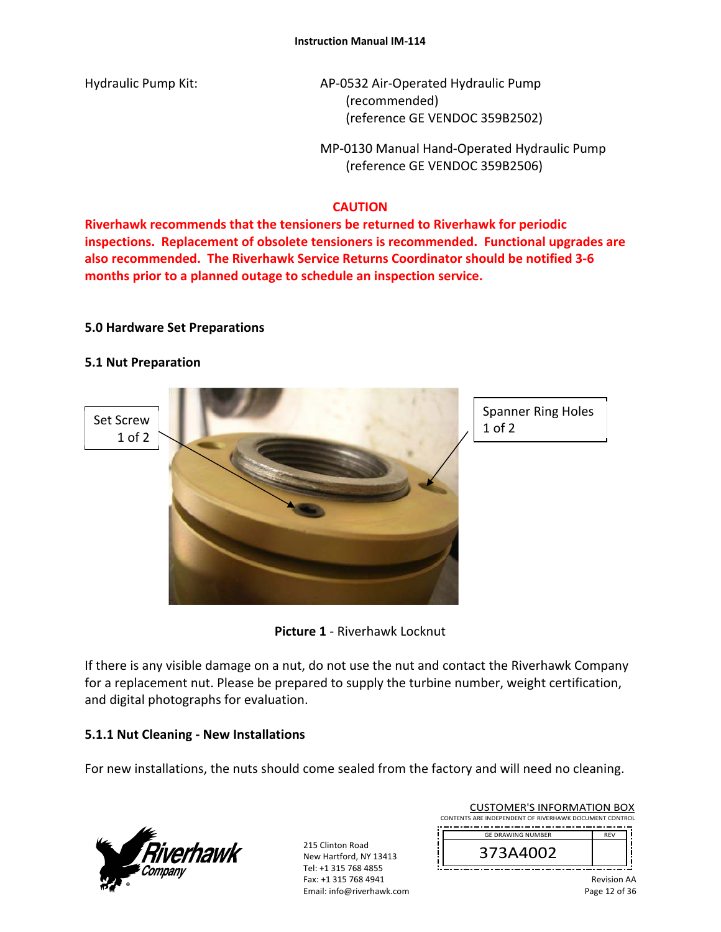Hydraulic Pump Kit: 
AP-0532 Air-Operated Hydraulic Pump (recommended) (reference GE VENDOC 359B2502)

> MP‐0130 Manual Hand‐Operated Hydraulic Pump (reference GE VENDOC 359B2506)

# **CAUTION**

**Riverhawk recommends that the tensioners be returned to Riverhawk for periodic inspections. Replacement of obsolete tensioners is recommended. Functional upgrades are also recommended. The Riverhawk Service Returns Coordinator should be notified 3‐6 months prior to a planned outage to schedule an inspection service.** 

# **5.0 Hardware Set Preparations**

### **5.1 Nut Preparation**





If there is any visible damage on a nut, do not use the nut and contact the Riverhawk Company for a replacement nut. Please be prepared to supply the turbine number, weight certification, and digital photographs for evaluation.

# **5.1.1 Nut Cleaning ‐ New Installations**

For new installations, the nuts should come sealed from the factory and will need no cleaning.



215 Clinton Road New Hartford, NY 13413 Tel: +1 315 768 4855 Fax: +1 315 768 4941 Email: info@riverhawk.com

| <b>GF DRAWING NUMBER</b> | <b>RFV</b> |
|--------------------------|------------|
| 373A4002                 |            |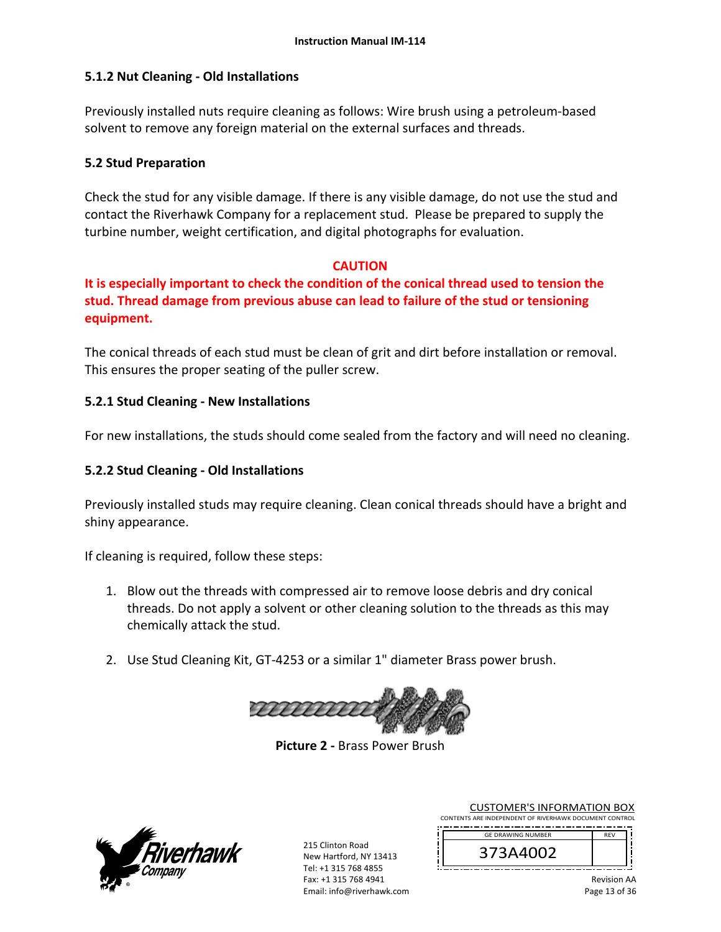# **5.1.2 Nut Cleaning ‐ Old Installations**

Previously installed nuts require cleaning as follows: Wire brush using a petroleum‐based solvent to remove any foreign material on the external surfaces and threads.

### **5.2 Stud Preparation**

Check the stud for any visible damage. If there is any visible damage, do not use the stud and contact the Riverhawk Company for a replacement stud. Please be prepared to supply the turbine number, weight certification, and digital photographs for evaluation.

#### **CAUTION**

**It is especially important to check the condition of the conical thread used to tension the stud. Thread damage from previous abuse can lead to failure of the stud or tensioning equipment.**

The conical threads of each stud must be clean of grit and dirt before installation or removal. This ensures the proper seating of the puller screw.

### **5.2.1 Stud Cleaning ‐ New Installations**

For new installations, the studs should come sealed from the factory and will need no cleaning.

### **5.2.2 Stud Cleaning ‐ Old Installations**

Previously installed studs may require cleaning. Clean conical threads should have a bright and shiny appearance.

If cleaning is required, follow these steps:

- 1. Blow out the threads with compressed air to remove loose debris and dry conical threads. Do not apply a solvent or other cleaning solution to the threads as this may chemically attack the stud.
- 2. Use Stud Cleaning Kit, GT‐4253 or a similar 1" diameter Brass power brush.

mmm

**Picture 2 ‐** Brass Power Brush



215 Clinton Road New Hartford, NY 13413 Tel: +1 315 768 4855 Fax: +1 315 768 4941 Email: info@riverhawk.com

| <b>GE DRAWING NUMBER</b> |  |
|--------------------------|--|

| <b>OL DIVATION INDIVIDEN</b> | . | ٠ |
|------------------------------|---|---|
| $\mathbf{z}$<br>÷            |   |   |
|                              |   |   |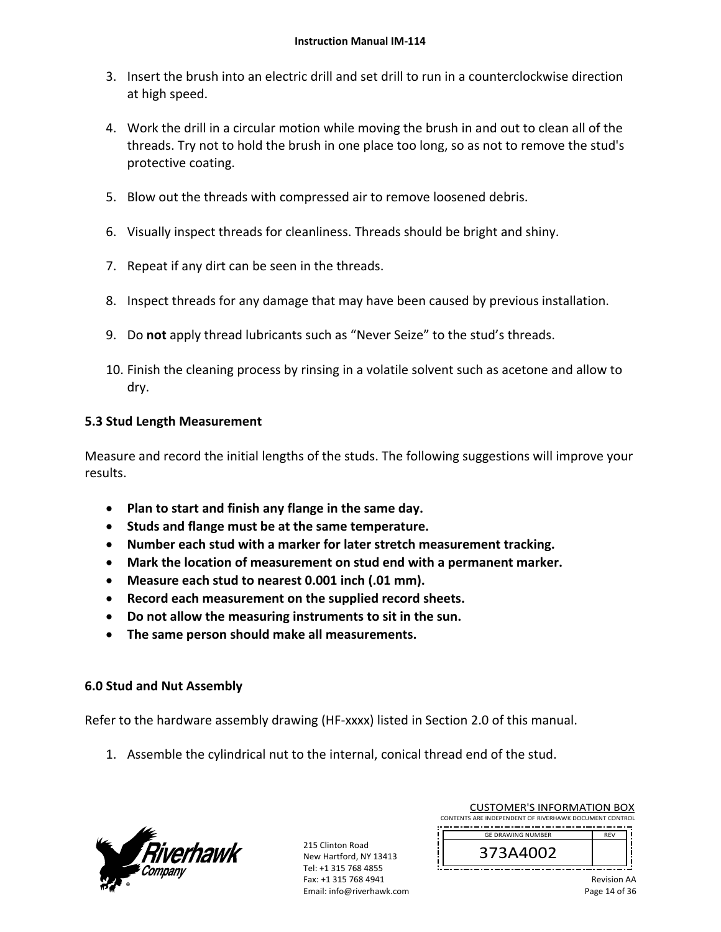- 3. Insert the brush into an electric drill and set drill to run in a counterclockwise direction at high speed.
- 4. Work the drill in a circular motion while moving the brush in and out to clean all of the threads. Try not to hold the brush in one place too long, so as not to remove the stud's protective coating.
- 5. Blow out the threads with compressed air to remove loosened debris.
- 6. Visually inspect threads for cleanliness. Threads should be bright and shiny.
- 7. Repeat if any dirt can be seen in the threads.
- 8. Inspect threads for any damage that may have been caused by previous installation.
- 9. Do **not** apply thread lubricants such as "Never Seize" to the stud's threads.
- 10. Finish the cleaning process by rinsing in a volatile solvent such as acetone and allow to dry.

### **5.3 Stud Length Measurement**

Measure and record the initial lengths of the studs. The following suggestions will improve your results.

- **Plan to start and finish any flange in the same day.**
- **Studs and flange must be at the same temperature.**
- **Number each stud with a marker for later stretch measurement tracking.**
- **Mark the location of measurement on stud end with a permanent marker.**
- **Measure each stud to nearest 0.001 inch (.01 mm).**
- **Record each measurement on the supplied record sheets.**
- **Do not allow the measuring instruments to sit in the sun.**
- **The same person should make all measurements.**

### **6.0 Stud and Nut Assembly**

Refer to the hardware assembly drawing (HF‐xxxx) listed in Section 2.0 of this manual.

1. Assemble the cylindrical nut to the internal, conical thread end of the stud.



215 Clinton Road New Hartford, NY 13413 Tel: +1 315 768 4855 Fax: +1 315 768 4941 Email: info@riverhawk.com

| <b>CUSTOMER'S INFORMATION BOX</b>                      |
|--------------------------------------------------------|
| CONTENTS ARE INDEPENDENT OF RIVERHAWK DOCUMENT CONTROL |
|                                                        |

| <b>GF DRAWING NUMBER</b> | <b>RFV</b> |
|--------------------------|------------|
| 373A4002                 |            |
|                          |            |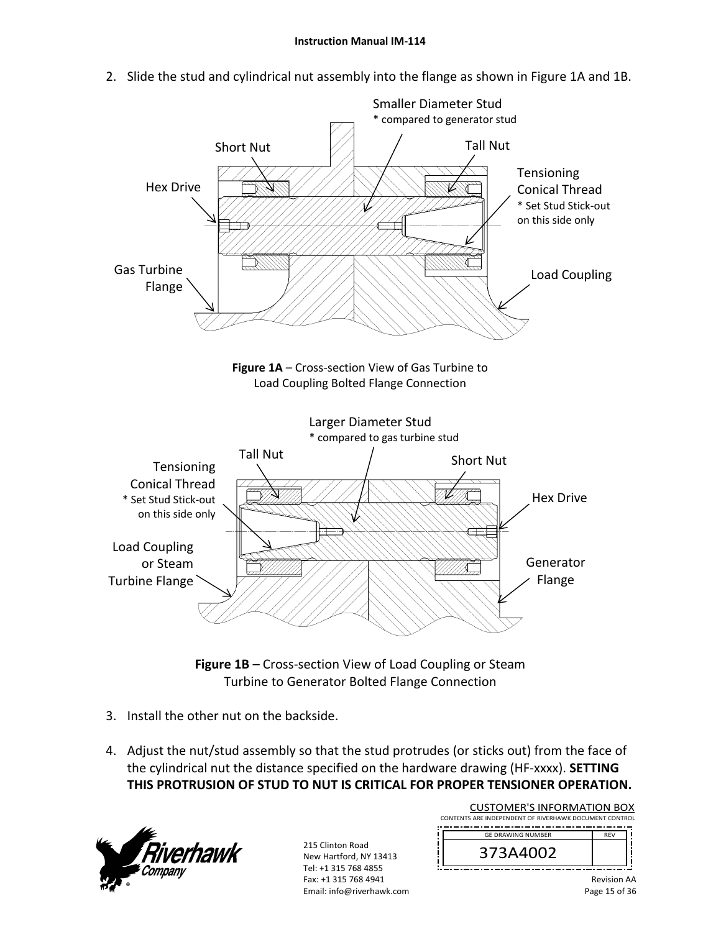2. Slide the stud and cylindrical nut assembly into the flange as shown in Figure 1A and 1B.



**Figure 1B** – Cross‐section View of Load Coupling or Steam Turbine to Generator Bolted Flange Connection

- 3. Install the other nut on the backside.
- 4. Adjust the nut/stud assembly so that the stud protrudes (or sticks out) from the face of the cylindrical nut the distance specified on the hardware drawing (HF‐xxxx). **SETTING THIS PROTRUSION OF STUD TO NUT IS CRITICAL FOR PROPER TENSIONER OPERATION.**



215 Clinton Road New Hartford, NY 13413 Tel: +1 315 768 4855 Fax: +1 315 768 4941 Email: info@riverhawk.com

| <b>GE DRAWING NUMBER</b> |  |
|--------------------------|--|
| 373A4002                 |  |
|                          |  |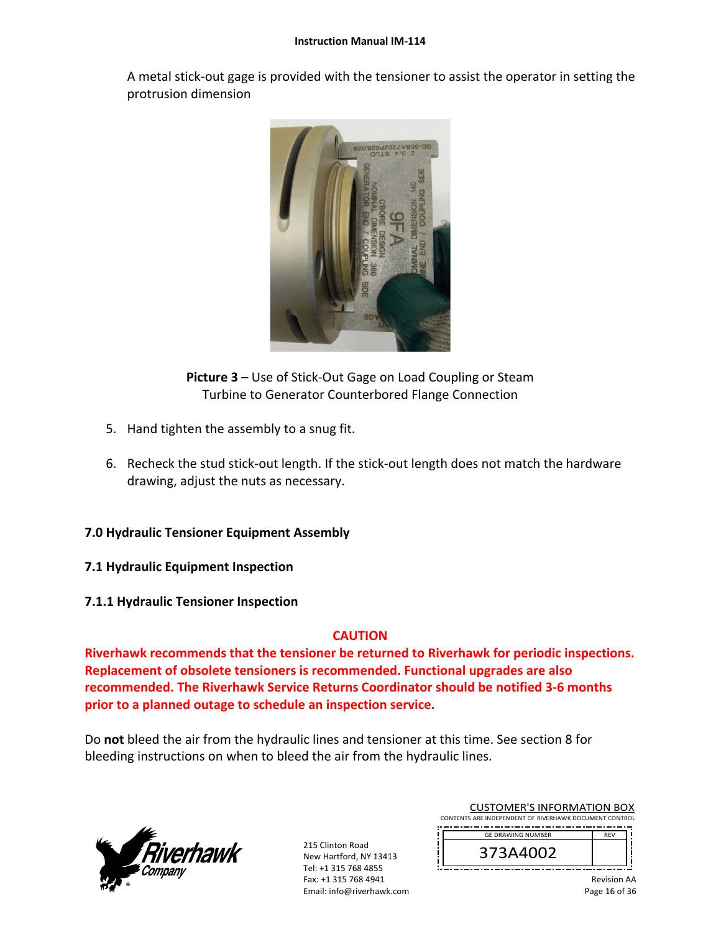A metal stick‐out gage is provided with the tensioner to assist the operator in setting the protrusion dimension



**Picture 3** – Use of Stick‐Out Gage on Load Coupling or Steam Turbine to Generator Counterbored Flange Connection

- 5. Hand tighten the assembly to a snug fit.
- 6. Recheck the stud stick‐out length. If the stick‐out length does not match the hardware drawing, adjust the nuts as necessary.

### **7.0 Hydraulic Tensioner Equipment Assembly**

- **7.1 Hydraulic Equipment Inspection**
- **7.1.1 Hydraulic Tensioner Inspection**

#### **CAUTION**

**Riverhawk recommends that the tensioner be returned to Riverhawk for periodic inspections. Replacement of obsolete tensioners is recommended. Functional upgrades are also recommended. The Riverhawk Service Returns Coordinator should be notified 3‐6 months prior to a planned outage to schedule an inspection service.** 

Do **not** bleed the air from the hydraulic lines and tensioner at this time. See section 8 for bleeding instructions on when to bleed the air from the hydraulic lines.



215 Clinton Road New Hartford, NY 13413 Tel: +1 315 768 4855 Fax: +1 315 768 4941 Email: info@riverhawk.com

| <b>GE DRAWING NUMBER</b> | <b>RFV</b> |
|--------------------------|------------|
| 373A4002                 |            |
|                          |            |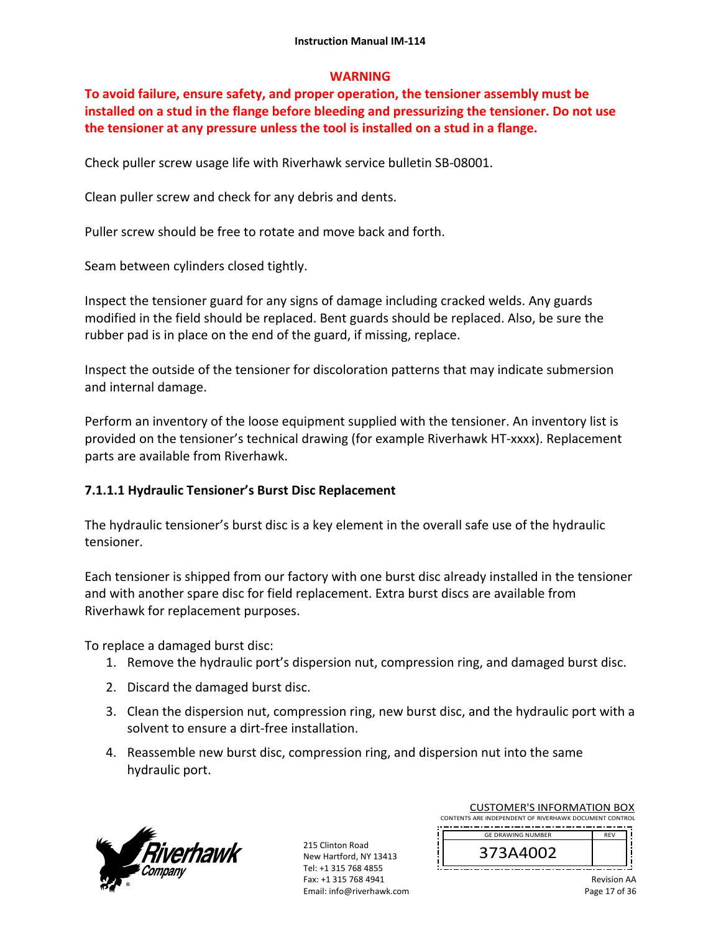### **WARNING**

**To avoid failure, ensure safety, and proper operation, the tensioner assembly must be installed on a stud in the flange before bleeding and pressurizing the tensioner. Do not use the tensioner at any pressure unless the tool is installed on a stud in a flange.** 

Check puller screw usage life with Riverhawk service bulletin SB‐08001.

Clean puller screw and check for any debris and dents.

Puller screw should be free to rotate and move back and forth.

Seam between cylinders closed tightly.

Inspect the tensioner guard for any signs of damage including cracked welds. Any guards modified in the field should be replaced. Bent guards should be replaced. Also, be sure the rubber pad is in place on the end of the guard, if missing, replace.

Inspect the outside of the tensioner for discoloration patterns that may indicate submersion and internal damage.

Perform an inventory of the loose equipment supplied with the tensioner. An inventory list is provided on the tensioner's technical drawing (for example Riverhawk HT‐xxxx). Replacement parts are available from Riverhawk.

# **7.1.1.1 Hydraulic Tensioner's Burst Disc Replacement**

The hydraulic tensioner's burst disc is a key element in the overall safe use of the hydraulic tensioner.

Each tensioner is shipped from our factory with one burst disc already installed in the tensioner and with another spare disc for field replacement. Extra burst discs are available from Riverhawk for replacement purposes.

To replace a damaged burst disc:

- 1. Remove the hydraulic port's dispersion nut, compression ring, and damaged burst disc.
- 2. Discard the damaged burst disc.
- 3. Clean the dispersion nut, compression ring, new burst disc, and the hydraulic port with a solvent to ensure a dirt‐free installation.
- 4. Reassemble new burst disc, compression ring, and dispersion nut into the same hydraulic port.



215 Clinton Road New Hartford, NY 13413 Tel: +1 315 768 4855 Fax: +1 315 768 4941 Email: info@riverhawk.com

| <b>GE DRAWING NUMBER</b> |  |
|--------------------------|--|
| 373A4002                 |  |
|                          |  |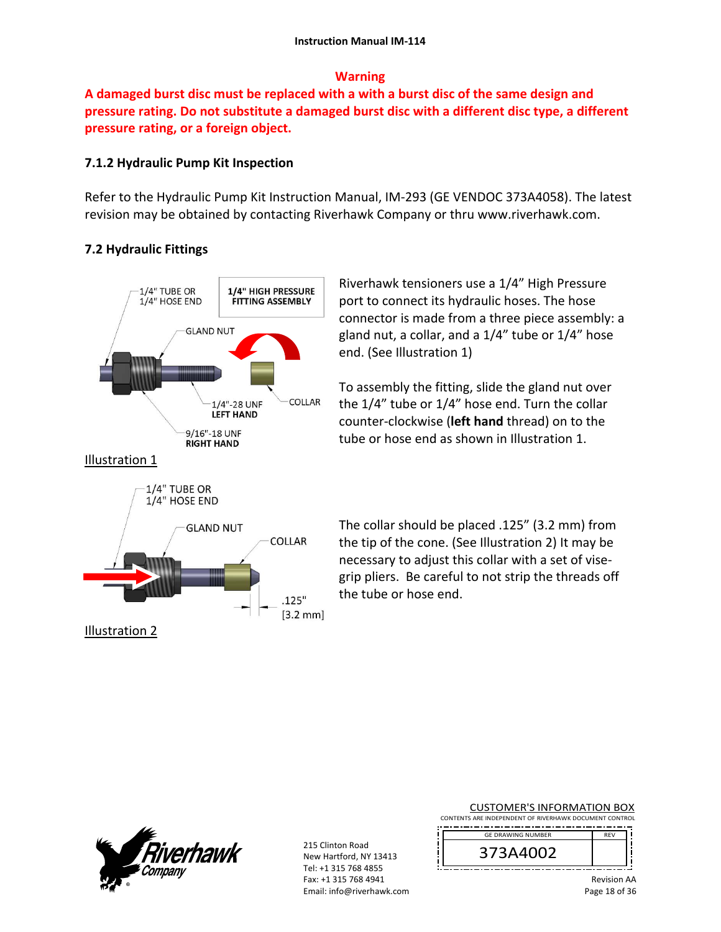### **Warning**

**A damaged burst disc must be replaced with a with a burst disc of the same design and pressure rating. Do not substitute a damaged burst disc with a different disc type, a different pressure rating, or a foreign object.**

# **7.1.2 Hydraulic Pump Kit Inspection**

Refer to the Hydraulic Pump Kit Instruction Manual, IM‐293 (GE VENDOC 373A4058). The latest revision may be obtained by contacting Riverhawk Company or thru www.riverhawk.com.

# **7.2 Hydraulic Fittings**



Riverhawk tensioners use a 1/4" High Pressure port to connect its hydraulic hoses. The hose connector is made from a three piece assembly: a gland nut, a collar, and a 1/4" tube or 1/4" hose end. (See Illustration 1)

To assembly the fitting, slide the gland nut over the 1/4" tube or 1/4" hose end. Turn the collar counter‐clockwise (**left hand** thread) on to the tube or hose end as shown in Illustration 1.

The collar should be placed .125" (3.2 mm) from the tip of the cone. (See Illustration 2) It may be necessary to adjust this collar with a set of vise‐ grip pliers. Be careful to not strip the threads off the tube or hose end.



Illustration 2

215 Clinton Road New Hartford, NY 13413 Tel: +1 315 768 4855 Fax: +1 315 768 4941 Email: info@riverhawk.com

 $.125"$  $[3.2 \text{ mm}]$ 

#### CUSTOMER'S INFORMATION BOX

CONTENTS ARE INDEPENDENT OF RIVERHAWK DOCUMENT CONTROL 

| 373A4002 | <b>GE DRAWING NUMBER</b> | <b>FV</b> |
|----------|--------------------------|-----------|
|          |                          |           |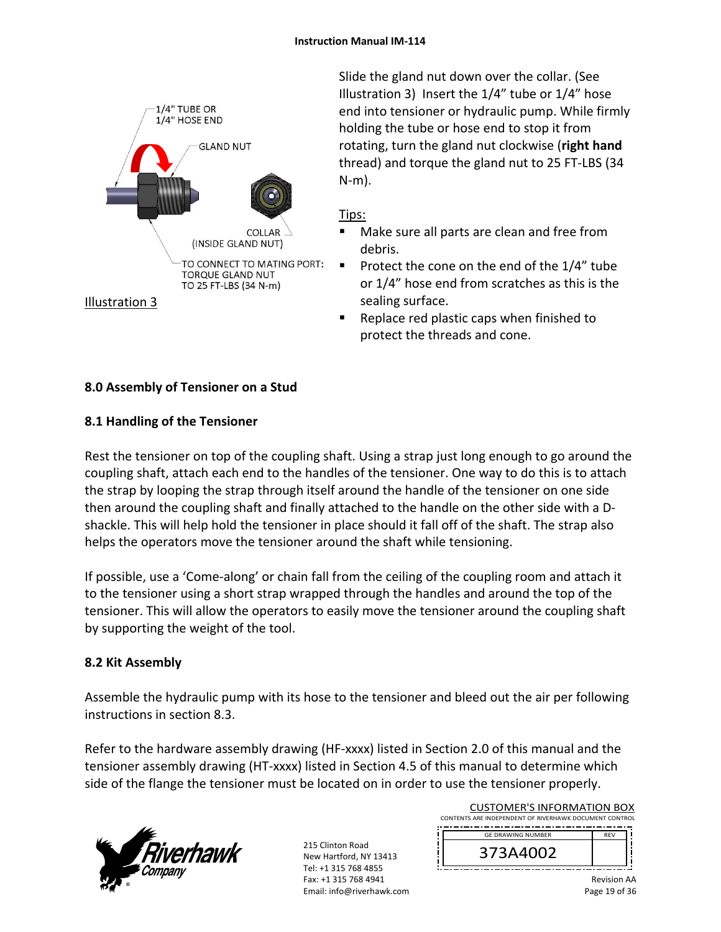

Slide the gland nut down over the collar. (See Illustration 3) Insert the 1/4" tube or 1/4" hose end into tensioner or hydraulic pump. While firmly holding the tube or hose end to stop it from rotating, turn the gland nut clockwise (**right hand** thread) and torque the gland nut to 25 FT‐LBS (34 N‐m).

# Tips:

- Make sure all parts are clean and free from debris.
- Protect the cone on the end of the  $1/4$ " tube or 1/4" hose end from scratches as this is the sealing surface.
- Replace red plastic caps when finished to protect the threads and cone.

# **8.0 Assembly of Tensioner on a Stud**

# **8.1 Handling of the Tensioner**

Rest the tensioner on top of the coupling shaft. Using a strap just long enough to go around the coupling shaft, attach each end to the handles of the tensioner. One way to do this is to attach the strap by looping the strap through itself around the handle of the tensioner on one side then around the coupling shaft and finally attached to the handle on the other side with a D‐ shackle. This will help hold the tensioner in place should it fall off of the shaft. The strap also helps the operators move the tensioner around the shaft while tensioning.

If possible, use a 'Come‐along' or chain fall from the ceiling of the coupling room and attach it to the tensioner using a short strap wrapped through the handles and around the top of the tensioner. This will allow the operators to easily move the tensioner around the coupling shaft by supporting the weight of the tool.

# **8.2 Kit Assembly**

Assemble the hydraulic pump with its hose to the tensioner and bleed out the air per following instructions in section 8.3.

Refer to the hardware assembly drawing (HF-xxxx) listed in Section 2.0 of this manual and the tensioner assembly drawing (HT‐xxxx) listed in Section 4.5 of this manual to determine which side of the flange the tensioner must be located on in order to use the tensioner properly.



215 Clinton Road New Hartford, NY 13413 Tel: +1 315 768 4855 Fax: +1 315 768 4941 Email: info@riverhawk.com

| <b>GE DRAWING NUMBER</b> | <b>RFV</b> |
|--------------------------|------------|
| 3/3A4002                 |            |
|                          |            |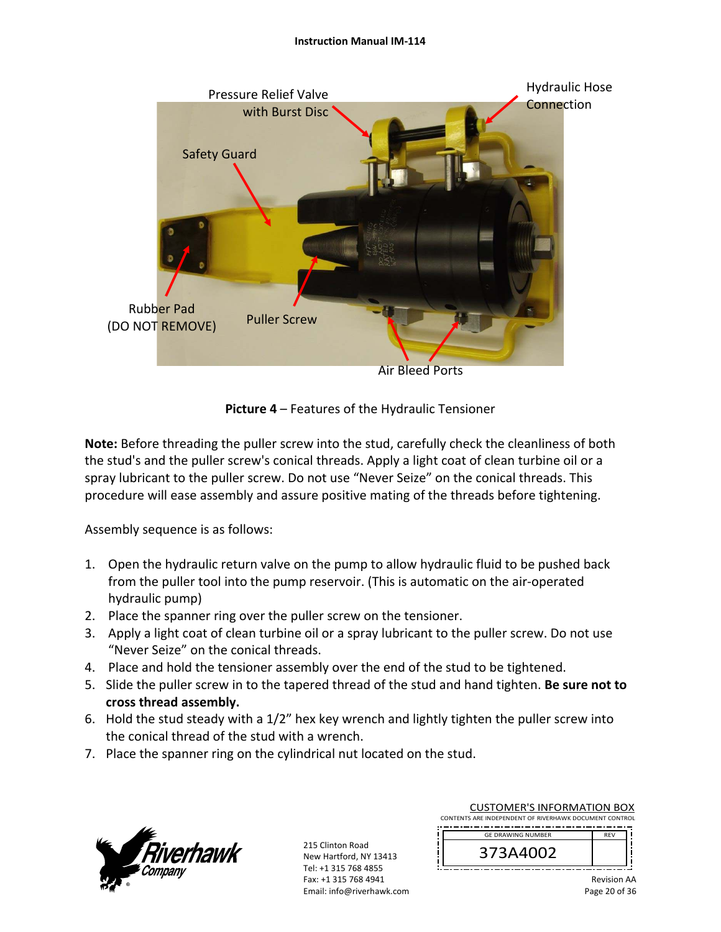#### **Instruction Manual IM‐114**



**Picture 4** – Features of the Hydraulic Tensioner

**Note:** Before threading the puller screw into the stud, carefully check the cleanliness of both the stud's and the puller screw's conical threads. Apply a light coat of clean turbine oil or a spray lubricant to the puller screw. Do not use "Never Seize" on the conical threads. This procedure will ease assembly and assure positive mating of the threads before tightening.

Assembly sequence is as follows:

- 1. Open the hydraulic return valve on the pump to allow hydraulic fluid to be pushed back from the puller tool into the pump reservoir. (This is automatic on the air‐operated hydraulic pump)
- 2. Place the spanner ring over the puller screw on the tensioner.
- 3. Apply a light coat of clean turbine oil or a spray lubricant to the puller screw. Do not use "Never Seize" on the conical threads.
- 4. Place and hold the tensioner assembly over the end of the stud to be tightened.
- 5. Slide the puller screw in to the tapered thread of the stud and hand tighten. **Be sure not to cross thread assembly.**
- 6. Hold the stud steady with a 1/2" hex key wrench and lightly tighten the puller screw into the conical thread of the stud with a wrench.
- 7. Place the spanner ring on the cylindrical nut located on the stud.



215 Clinton Road New Hartford, NY 13413 Tel: +1 315 768 4855 Fax: +1 315 768 4941 Email: info@riverhawk.com

| <b>GF DRAWING NUMBER</b> |  |
|--------------------------|--|
| 373A4002                 |  |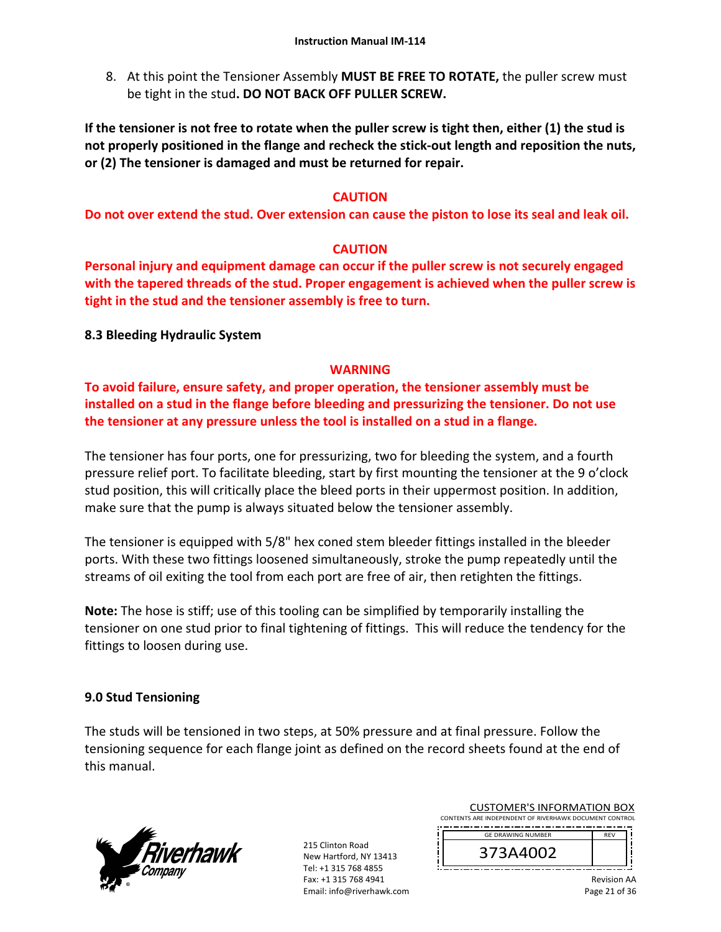8. At this point the Tensioner Assembly **MUST BE FREE TO ROTATE,** the puller screw must be tight in the stud**. DO NOT BACK OFF PULLER SCREW.**

**If the tensioner is not free to rotate when the puller screw is tight then, either (1) the stud is not properly positioned in the flange and recheck the stick‐out length and reposition the nuts, or (2) The tensioner is damaged and must be returned for repair.** 

### **CAUTION**

**Do not over extend the stud. Over extension can cause the piston to lose its seal and leak oil.** 

#### **CAUTION**

**Personal injury and equipment damage can occur if the puller screw is not securely engaged with the tapered threads of the stud. Proper engagement is achieved when the puller screw is tight in the stud and the tensioner assembly is free to turn.** 

**8.3 Bleeding Hydraulic System** 

### **WARNING**

**To avoid failure, ensure safety, and proper operation, the tensioner assembly must be installed on a stud in the flange before bleeding and pressurizing the tensioner. Do not use the tensioner at any pressure unless the tool is installed on a stud in a flange.** 

The tensioner has four ports, one for pressurizing, two for bleeding the system, and a fourth pressure relief port. To facilitate bleeding, start by first mounting the tensioner at the 9 o'clock stud position, this will critically place the bleed ports in their uppermost position. In addition, make sure that the pump is always situated below the tensioner assembly.

The tensioner is equipped with 5/8" hex coned stem bleeder fittings installed in the bleeder ports. With these two fittings loosened simultaneously, stroke the pump repeatedly until the streams of oil exiting the tool from each port are free of air, then retighten the fittings.

**Note:** The hose is stiff; use of this tooling can be simplified by temporarily installing the tensioner on one stud prior to final tightening of fittings. This will reduce the tendency for the fittings to loosen during use.

### **9.0 Stud Tensioning**

The studs will be tensioned in two steps, at 50% pressure and at final pressure. Follow the tensioning sequence for each flange joint as defined on the record sheets found at the end of this manual.



215 Clinton Road New Hartford, NY 13413 Tel: +1 315 768 4855 Fax: +1 315 768 4941 Email: info@riverhawk.com

| <b>GE DRAWING NUMBER</b> | <b>RFV</b> |
|--------------------------|------------|
| 373A4002                 |            |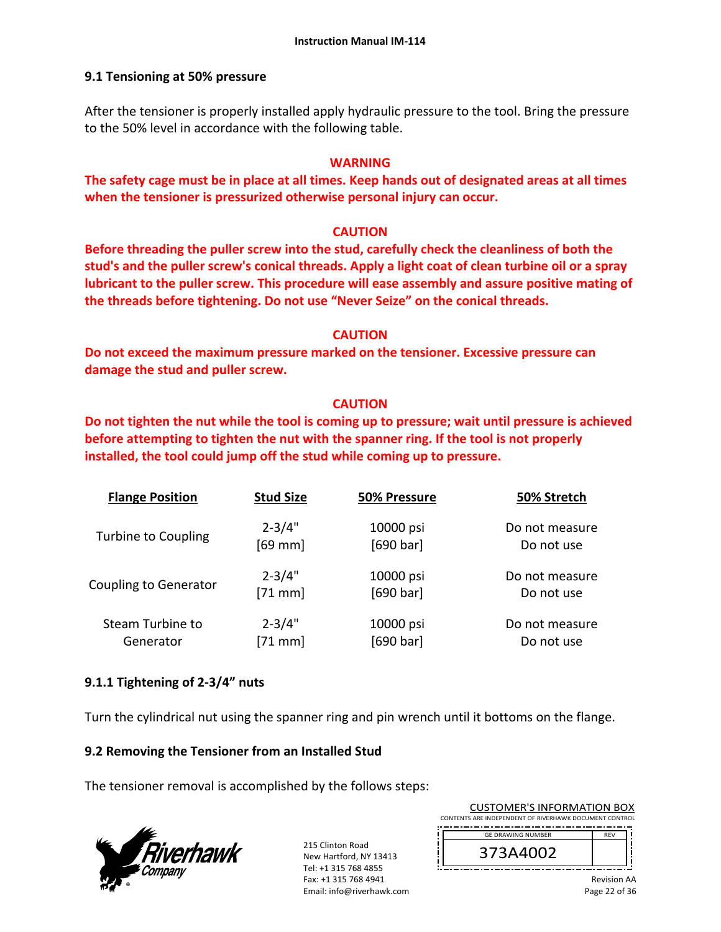#### **9.1 Tensioning at 50% pressure**

After the tensioner is properly installed apply hydraulic pressure to the tool. Bring the pressure to the 50% level in accordance with the following table.

#### **WARNING**

**The safety cage must be in place at all times. Keep hands out of designated areas at all times when the tensioner is pressurized otherwise personal injury can occur.** 

#### **CAUTION**

**Before threading the puller screw into the stud, carefully check the cleanliness of both the stud's and the puller screw's conical threads. Apply a light coat of clean turbine oil or a spray lubricant to the puller screw. This procedure will ease assembly and assure positive mating of the threads before tightening. Do not use "Never Seize" on the conical threads.** 

#### **CAUTION**

**Do not exceed the maximum pressure marked on the tensioner. Excessive pressure can damage the stud and puller screw.** 

### **CAUTION**

**Do not tighten the nut while the tool is coming up to pressure; wait until pressure is achieved before attempting to tighten the nut with the spanner ring. If the tool is not properly installed, the tool could jump off the stud while coming up to pressure.** 

| <b>Flange Position</b>       | <b>Stud Size</b> | <b>50% Pressure</b> | 50% Stretch    |
|------------------------------|------------------|---------------------|----------------|
| Turbine to Coupling          | $2 - 3/4"$       | 10000 psi           | Do not measure |
|                              | $[69$ mm         | [690 bar]           | Do not use     |
| <b>Coupling to Generator</b> | $2 - 3/4"$       | 10000 psi           | Do not measure |
|                              | $[71$ mm]        | [690 bar]           | Do not use     |
| Steam Turbine to             | $2 - 3/4"$       | 10000 psi           | Do not measure |
| Generator                    | $[71$ mm]        | [690 bar]           | Do not use     |

### **9.1.1 Tightening of 2‐3/4" nuts**

Turn the cylindrical nut using the spanner ring and pin wrench until it bottoms on the flange.

### **9.2 Removing the Tensioner from an Installed Stud**

The tensioner removal is accomplished by the follows steps:



215 Clinton Road New Hartford, NY 13413 Tel: +1 315 768 4855 Fax: +1 315 768 4941 Email: info@riverhawk.com

| <b>GF DRAWING NUMBER</b> | <b>REV</b> |
|--------------------------|------------|
| 373A4002                 |            |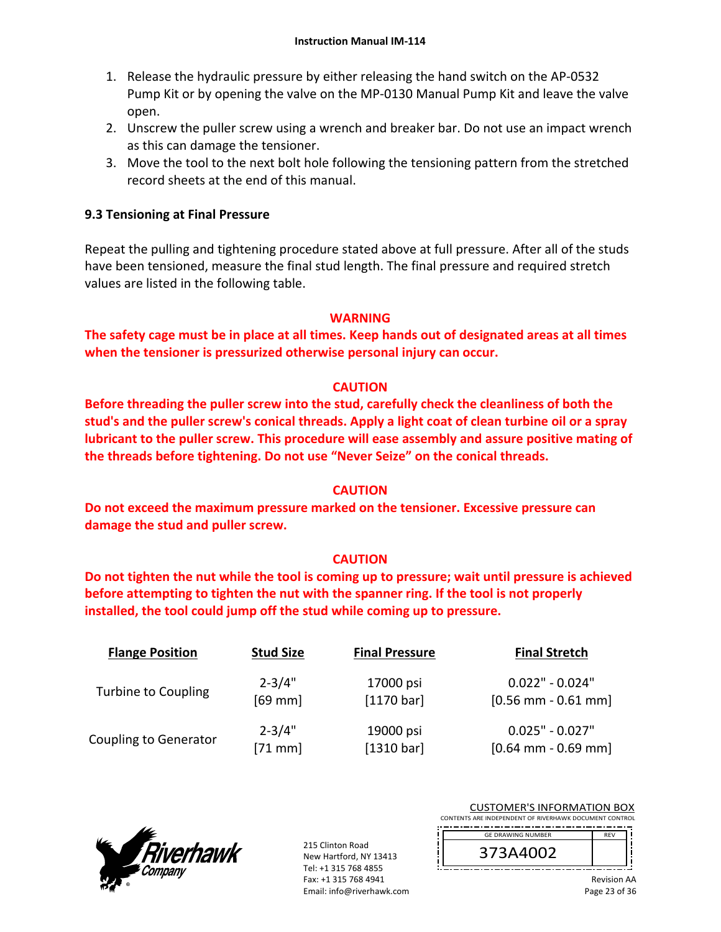- 1. Release the hydraulic pressure by either releasing the hand switch on the AP‐0532 Pump Kit or by opening the valve on the MP‐0130 Manual Pump Kit and leave the valve open.
- 2. Unscrew the puller screw using a wrench and breaker bar. Do not use an impact wrench as this can damage the tensioner.
- 3. Move the tool to the next bolt hole following the tensioning pattern from the stretched record sheets at the end of this manual.

# **9.3 Tensioning at Final Pressure**

Repeat the pulling and tightening procedure stated above at full pressure. After all of the studs have been tensioned, measure the final stud length. The final pressure and required stretch values are listed in the following table.

### **WARNING**

**The safety cage must be in place at all times. Keep hands out of designated areas at all times when the tensioner is pressurized otherwise personal injury can occur.** 

# **CAUTION**

**Before threading the puller screw into the stud, carefully check the cleanliness of both the stud's and the puller screw's conical threads. Apply a light coat of clean turbine oil or a spray lubricant to the puller screw. This procedure will ease assembly and assure positive mating of the threads before tightening. Do not use "Never Seize" on the conical threads.** 

### **CAUTION**

**Do not exceed the maximum pressure marked on the tensioner. Excessive pressure can damage the stud and puller screw.** 

### **CAUTION**

**Do not tighten the nut while the tool is coming up to pressure; wait until pressure is achieved before attempting to tighten the nut with the spanner ring. If the tool is not properly installed, the tool could jump off the stud while coming up to pressure.**

| <b>Flange Position</b>       | <b>Stud Size</b> | <b>Final Pressure</b> | <b>Final Stretch</b> |
|------------------------------|------------------|-----------------------|----------------------|
| Turbine to Coupling          | $2 - 3/4"$       | 17000 psi             | $0.022" - 0.024"$    |
|                              | $[69$ mm $]$     | $[1170 \text{ bar}]$  | $[0.56$ mm - 0.61 mm |
| <b>Coupling to Generator</b> | $2 - 3/4"$       | 19000 psi             | $0.025" - 0.027"$    |
|                              | $[71$ mm $]$     | [1310 bar]            | $[0.64$ mm - 0.69 mm |



215 Clinton Road New Hartford, NY 13413 Tel: +1 315 768 4855 Fax: +1 315 768 4941 Email: info@riverhawk.com

CUSTOMER'S INFORMATION BOX CONTENTS ARE INDEPENDENT OF RIVERHAWK DOCUMENT CONTROL

| -------------------------------- |  |
|----------------------------------|--|
| <b>GE DRAWING NUMBER</b>         |  |

373A4002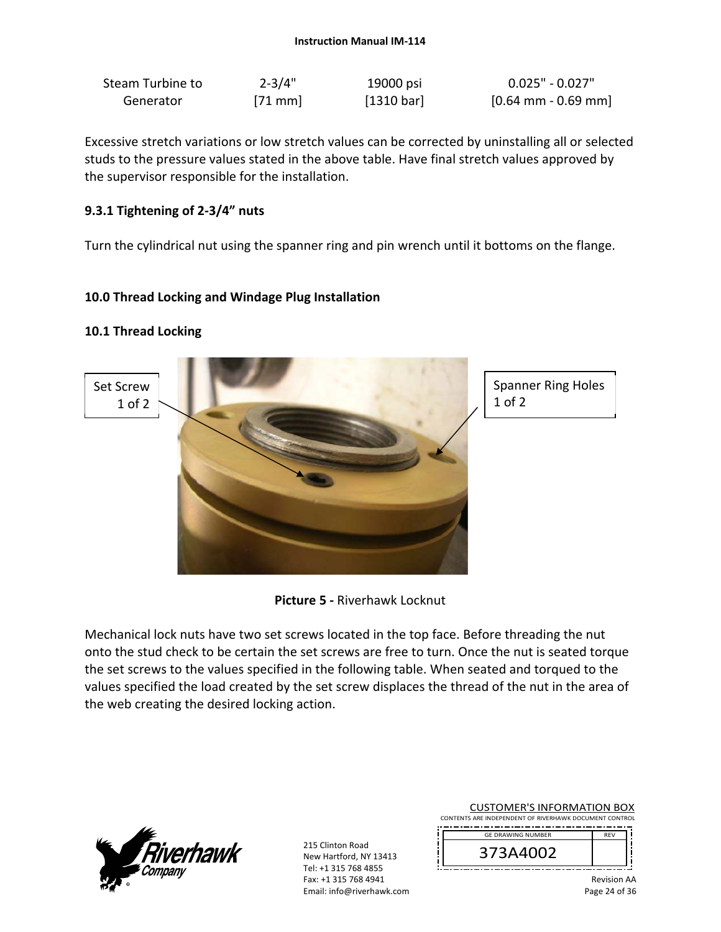| Steam Turbine to | $2 - 3/4"$ | 19000 psi  | $0.025"$ - $0.027"$                   |
|------------------|------------|------------|---------------------------------------|
| Generator        | $[71$ mm   | [1310 bar] | $[0.64 \text{ mm} - 0.69 \text{ mm}]$ |

Excessive stretch variations or low stretch values can be corrected by uninstalling all or selected studs to the pressure values stated in the above table. Have final stretch values approved by the supervisor responsible for the installation.

### **9.3.1 Tightening of 2‐3/4" nuts**

Turn the cylindrical nut using the spanner ring and pin wrench until it bottoms on the flange.

#### **10.0 Thread Locking and Windage Plug Installation**

#### **10.1 Thread Locking**



**Picture 5 ‐** Riverhawk Locknut

Mechanical lock nuts have two set screws located in the top face. Before threading the nut onto the stud check to be certain the set screws are free to turn. Once the nut is seated torque the set screws to the values specified in the following table. When seated and torqued to the values specified the load created by the set screw displaces the thread of the nut in the area of the web creating the desired locking action.



215 Clinton Road New Hartford, NY 13413 Tel: +1 315 768 4855 Fax: +1 315 768 4941 Email: info@riverhawk.com

| <b>GE DRAWING NUMBER</b> | <b>REV</b> |
|--------------------------|------------|
| 373A4002                 |            |
|                          |            |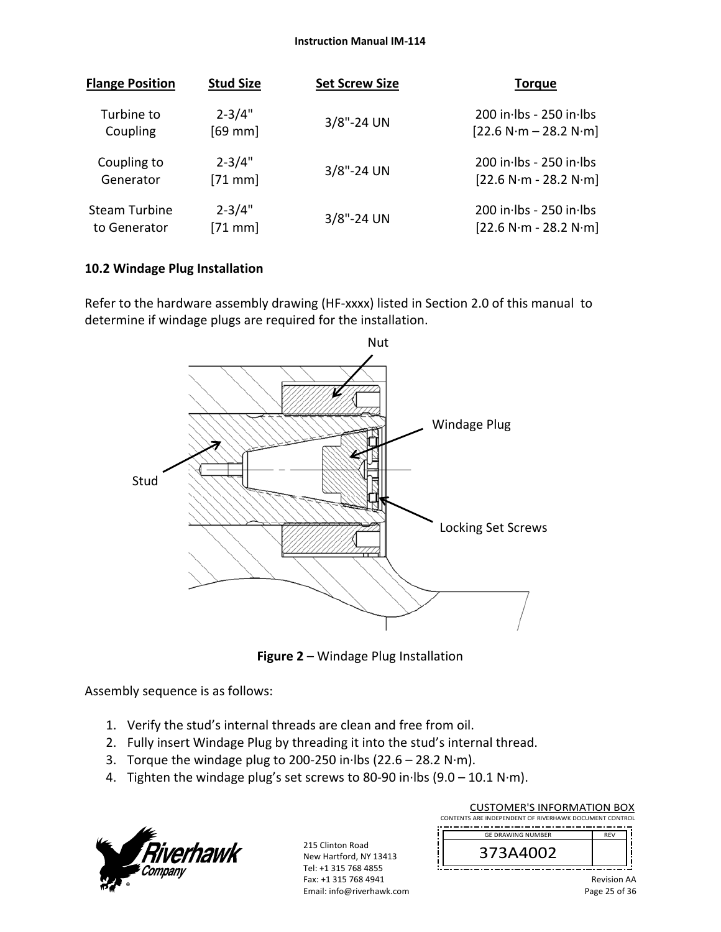| <b>Flange Position</b> | <b>Stud Size</b> | <b>Set Screw Size</b> | <b>Torque</b>               |
|------------------------|------------------|-----------------------|-----------------------------|
| Turbine to             | $2 - 3/4"$       | $3/8" - 24$ UN        | $200$ in lbs - $250$ in lbs |
| Coupling               | $[69$ mm         |                       | $[22.6 N·m - 28.2 N·m]$     |
| Coupling to            | $2 - 3/4"$       | $3/8" - 24$ UN        | $200$ in Ibs - 250 in Ibs   |
| Generator              | $[71$ mm         |                       | $[22.6 N·m - 28.2 N·m]$     |
| <b>Steam Turbine</b>   | $2 - 3/4"$       | $3/8$ "-24 UN         | $200$ in lbs - $250$ in lbs |
| to Generator           | $[71$ mm]        |                       | $[22.6 N·m - 28.2 N·m]$     |

### **10.2 Windage Plug Installation**

Refer to the hardware assembly drawing (HF-xxxx) listed in Section 2.0 of this manual to determine if windage plugs are required for the installation.



**Figure 2** – Windage Plug Installation

Assembly sequence is as follows:

- 1. Verify the stud's internal threads are clean and free from oil.
- 2. Fully insert Windage Plug by threading it into the stud's internal thread.
- 3. Torque the windage plug to 200‐250 in∙lbs (22.6 28.2 N∙m).
- 4. Tighten the windage plug's set screws to 80‐90 in∙lbs (9.0 10.1 N∙m).



215 Clinton Road New Hartford, NY 13413 Tel: +1 315 768 4855 Fax: +1 315 768 4941 Email: info@riverhawk.com

CUSTOMER'S INFORMATION BOX CONTENTS ARE INDEPENDENT OF RIVERHAWK DOCUMENT CONTROL

 REV GE DRAWING NUMBER

373A4002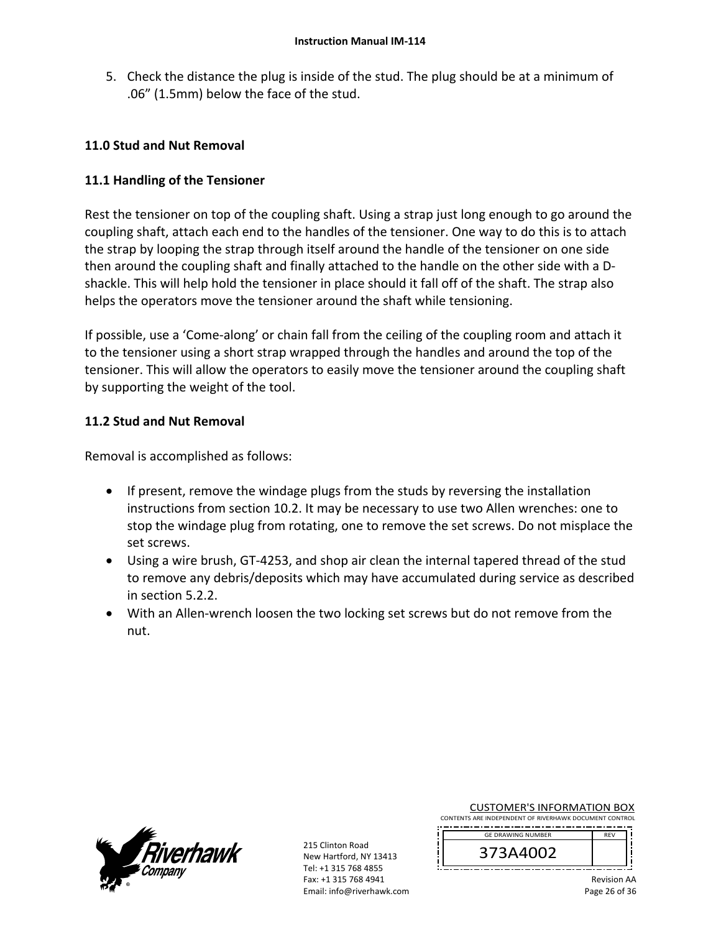5. Check the distance the plug is inside of the stud. The plug should be at a minimum of .06" (1.5mm) below the face of the stud.

### **11.0 Stud and Nut Removal**

### **11.1 Handling of the Tensioner**

Rest the tensioner on top of the coupling shaft. Using a strap just long enough to go around the coupling shaft, attach each end to the handles of the tensioner. One way to do this is to attach the strap by looping the strap through itself around the handle of the tensioner on one side then around the coupling shaft and finally attached to the handle on the other side with a D‐ shackle. This will help hold the tensioner in place should it fall off of the shaft. The strap also helps the operators move the tensioner around the shaft while tensioning.

If possible, use a 'Come‐along' or chain fall from the ceiling of the coupling room and attach it to the tensioner using a short strap wrapped through the handles and around the top of the tensioner. This will allow the operators to easily move the tensioner around the coupling shaft by supporting the weight of the tool.

### **11.2 Stud and Nut Removal**

Removal is accomplished as follows:

- If present, remove the windage plugs from the studs by reversing the installation instructions from section 10.2. It may be necessary to use two Allen wrenches: one to stop the windage plug from rotating, one to remove the set screws. Do not misplace the set screws.
- Using a wire brush, GT-4253, and shop air clean the internal tapered thread of the stud to remove any debris/deposits which may have accumulated during service as described in section 5.2.2.
- With an Allen-wrench loosen the two locking set screws but do not remove from the nut.



215 Clinton Road New Hartford, NY 13413 Tel: +1 315 768 4855 Fax: +1 315 768 4941 Email: info@riverhawk.com CUSTOMER'S INFORMATION BOX

CONTENTS ARE INDEPENDENT OF RIVERHAWK DOCUMENT CONTROL 

| <b>GE DRAWING NUMBER</b> | <b>RFV</b> |
|--------------------------|------------|
| 373A4002                 |            |
|                          |            |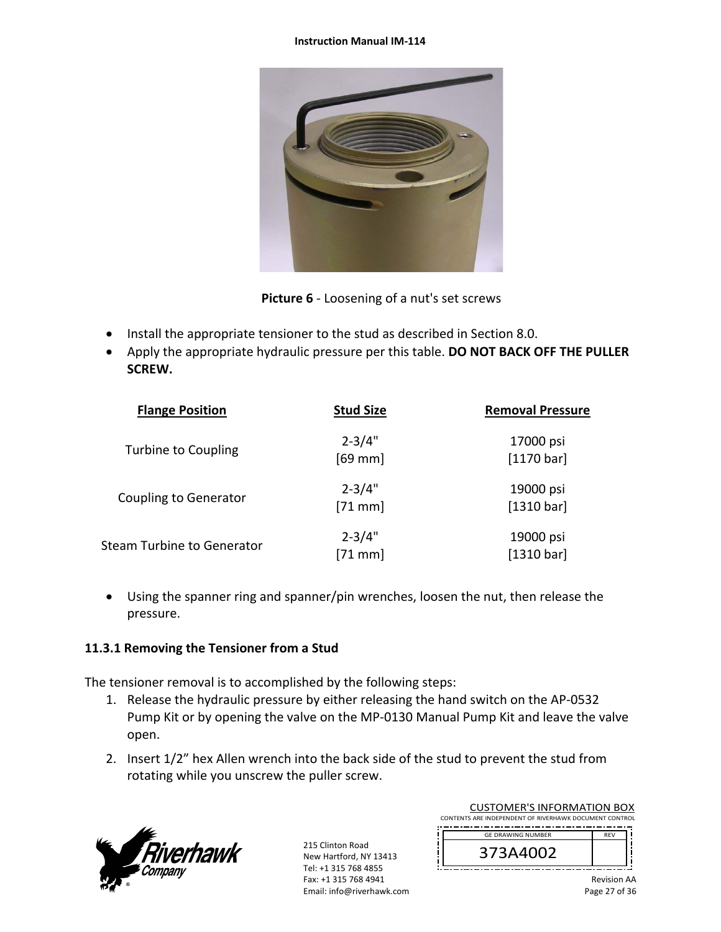#### **Instruction Manual IM‐114**



**Picture 6** ‐ Loosening of a nut's set screws

- Install the appropriate tensioner to the stud as described in Section 8.0.
- Apply the appropriate hydraulic pressure per this table. **DO NOT BACK OFF THE PULLER SCREW.**

| <b>Flange Position</b>       | <b>Stud Size</b>        | <b>Removal Pressure</b> |
|------------------------------|-------------------------|-------------------------|
| <b>Turbine to Coupling</b>   | $2 - 3/4"$<br>$[69$ mm  | 17000 psi<br>[1170 bar] |
| <b>Coupling to Generator</b> | $2 - 3/4"$<br>$[71$ mm] | 19000 psi<br>[1310 bar] |
| Steam Turbine to Generator   | $2 - 3/4"$<br>$[71$ mm  | 19000 psi<br>[1310 bar] |

 Using the spanner ring and spanner/pin wrenches, loosen the nut, then release the pressure.

# **11.3.1 Removing the Tensioner from a Stud**

The tensioner removal is to accomplished by the following steps:

- 1. Release the hydraulic pressure by either releasing the hand switch on the AP‐0532 Pump Kit or by opening the valve on the MP‐0130 Manual Pump Kit and leave the valve open.
- 2. Insert 1/2" hex Allen wrench into the back side of the stud to prevent the stud from rotating while you unscrew the puller screw.



215 Clinton Road New Hartford, NY 13413 Tel: +1 315 768 4855 Fax: +1 315 768 4941 Email: info@riverhawk.com

| <b>GE DRAWING NUMBER</b> | <b>REV</b> |
|--------------------------|------------|
| 73A4002<br>౨             |            |
|                          |            |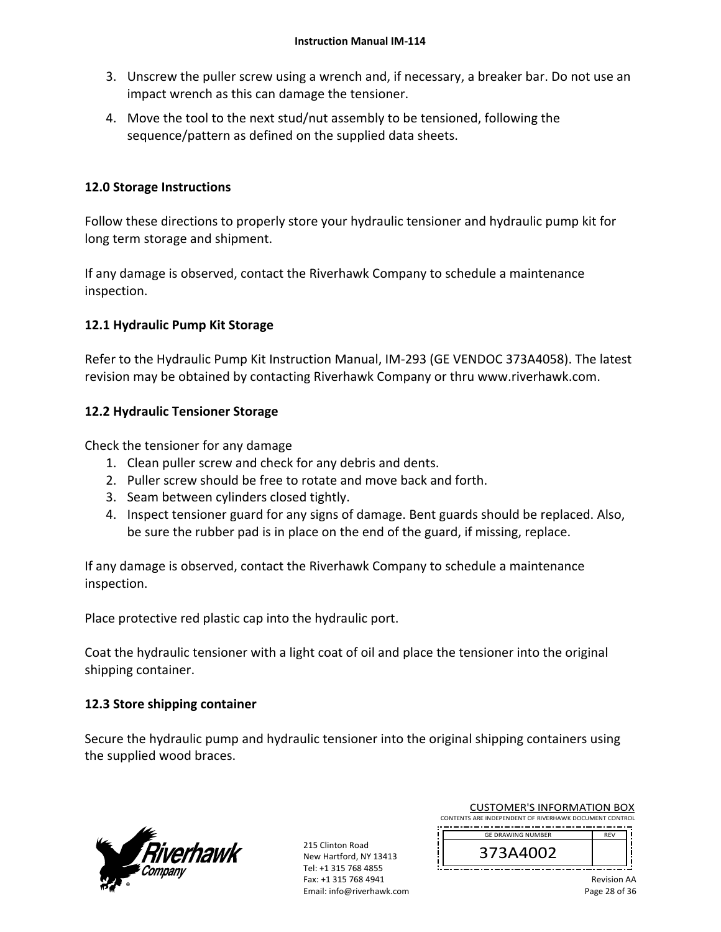- 3. Unscrew the puller screw using a wrench and, if necessary, a breaker bar. Do not use an impact wrench as this can damage the tensioner.
- 4. Move the tool to the next stud/nut assembly to be tensioned, following the sequence/pattern as defined on the supplied data sheets.

### **12.0 Storage Instructions**

Follow these directions to properly store your hydraulic tensioner and hydraulic pump kit for long term storage and shipment.

If any damage is observed, contact the Riverhawk Company to schedule a maintenance inspection.

# **12.1 Hydraulic Pump Kit Storage**

Refer to the Hydraulic Pump Kit Instruction Manual, IM‐293 (GE VENDOC 373A4058). The latest revision may be obtained by contacting Riverhawk Company or thru www.riverhawk.com.

# **12.2 Hydraulic Tensioner Storage**

Check the tensioner for any damage

- 1. Clean puller screw and check for any debris and dents.
- 2. Puller screw should be free to rotate and move back and forth.
- 3. Seam between cylinders closed tightly.
- 4. Inspect tensioner guard for any signs of damage. Bent guards should be replaced. Also, be sure the rubber pad is in place on the end of the guard, if missing, replace.

If any damage is observed, contact the Riverhawk Company to schedule a maintenance inspection.

Place protective red plastic cap into the hydraulic port.

Coat the hydraulic tensioner with a light coat of oil and place the tensioner into the original shipping container.

# **12.3 Store shipping container**

Secure the hydraulic pump and hydraulic tensioner into the original shipping containers using the supplied wood braces.



215 Clinton Road New Hartford, NY 13413 Tel: +1 315 768 4855 Fax: +1 315 768 4941 Email: info@riverhawk.com

| <b>GF DRAWING NUMBER</b> |  |
|--------------------------|--|
| 373A4002                 |  |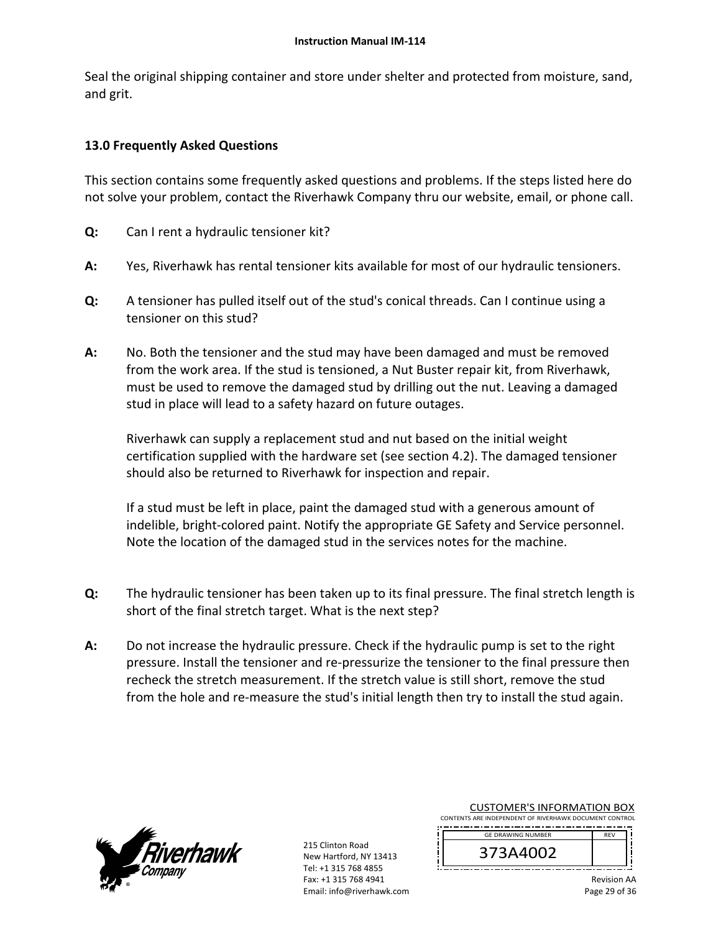Seal the original shipping container and store under shelter and protected from moisture, sand, and grit.

# **13.0 Frequently Asked Questions**

This section contains some frequently asked questions and problems. If the steps listed here do not solve your problem, contact the Riverhawk Company thru our website, email, or phone call.

- **Q:**  Can I rent a hydraulic tensioner kit?
- **A:**  Yes, Riverhawk has rental tensioner kits available for most of our hydraulic tensioners.
- **Q:**  A tensioner has pulled itself out of the stud's conical threads. Can I continue using a tensioner on this stud?
- **A:**  No. Both the tensioner and the stud may have been damaged and must be removed from the work area. If the stud is tensioned, a Nut Buster repair kit, from Riverhawk, must be used to remove the damaged stud by drilling out the nut. Leaving a damaged stud in place will lead to a safety hazard on future outages.

Riverhawk can supply a replacement stud and nut based on the initial weight certification supplied with the hardware set (see section 4.2). The damaged tensioner should also be returned to Riverhawk for inspection and repair.

If a stud must be left in place, paint the damaged stud with a generous amount of indelible, bright‐colored paint. Notify the appropriate GE Safety and Service personnel. Note the location of the damaged stud in the services notes for the machine.

- **Q:**  The hydraulic tensioner has been taken up to its final pressure. The final stretch length is short of the final stretch target. What is the next step?
- **A:**  Do not increase the hydraulic pressure. Check if the hydraulic pump is set to the right pressure. Install the tensioner and re‐pressurize the tensioner to the final pressure then recheck the stretch measurement. If the stretch value is still short, remove the stud from the hole and re-measure the stud's initial length then try to install the stud again.



215 Clinton Road New Hartford, NY 13413 Tel: +1 315 768 4855 Fax: +1 315 768 4941 Email: info@riverhawk.com

| <b>GE DRAWING NUMBER</b> | <b>RFV</b> |
|--------------------------|------------|
| 373A4002                 |            |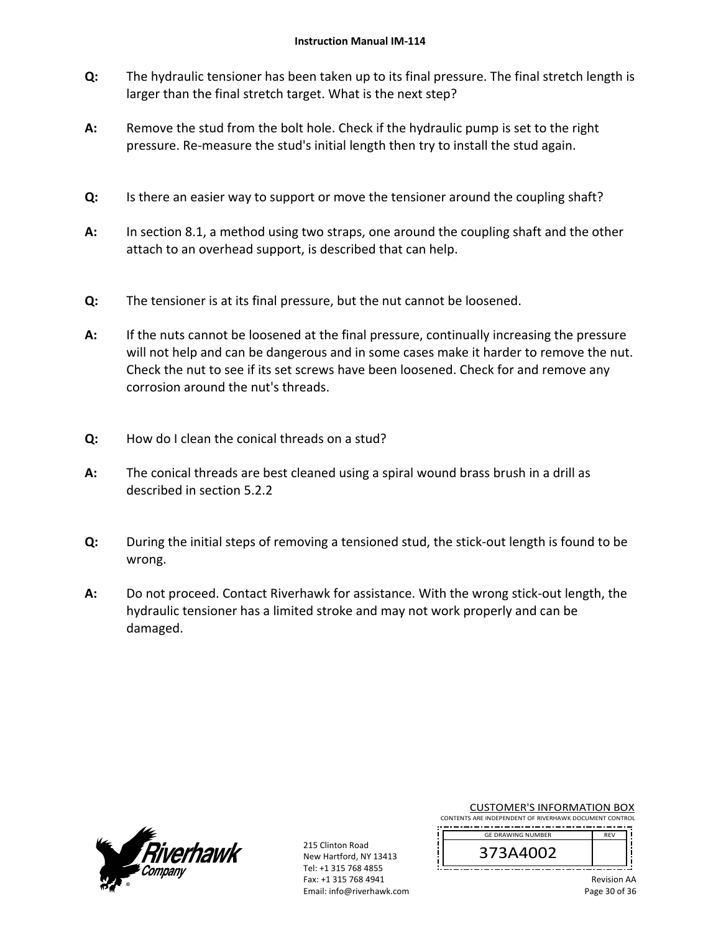- **Q:**  The hydraulic tensioner has been taken up to its final pressure. The final stretch length is larger than the final stretch target. What is the next step?
- **A:**  Remove the stud from the bolt hole. Check if the hydraulic pump is set to the right pressure. Re-measure the stud's initial length then try to install the stud again.
- **Q:**  Is there an easier way to support or move the tensioner around the coupling shaft?
- **A:**  In section 8.1, a method using two straps, one around the coupling shaft and the other attach to an overhead support, is described that can help.
- **Q:**  The tensioner is at its final pressure, but the nut cannot be loosened.
- **A:**  If the nuts cannot be loosened at the final pressure, continually increasing the pressure will not help and can be dangerous and in some cases make it harder to remove the nut. Check the nut to see if its set screws have been loosened. Check for and remove any corrosion around the nut's threads.
- **Q:**  How do I clean the conical threads on a stud?
- **A:**  The conical threads are best cleaned using a spiral wound brass brush in a drill as described in section 5.2.2
- **Q:**  During the initial steps of removing a tensioned stud, the stick-out length is found to be wrong.
- **A:**  Do not proceed. Contact Riverhawk for assistance. With the wrong stick‐out length, the hydraulic tensioner has a limited stroke and may not work properly and can be damaged.



215 Clinton Road New Hartford, NY 13413 Tel: +1 315 768 4855 Fax: +1 315 768 4941 Email: info@riverhawk.com CUSTOMER'S INFORMATION BOX

CONTENTS ARE INDEPENDENT OF RIVERHAWK DOCUMENT CONTROL 

| <b>GF DRAWING NUMBER</b> | <b>RFV</b> |
|--------------------------|------------|
| 373A4002                 |            |
|                          |            |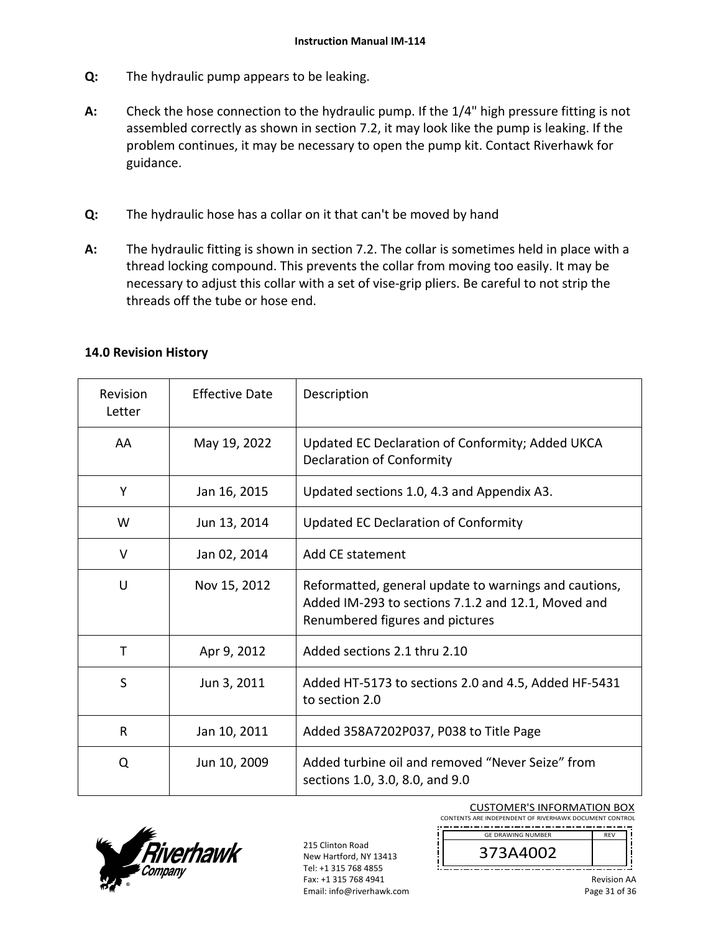- **Q:**  The hydraulic pump appears to be leaking.
- **A:**  Check the hose connection to the hydraulic pump. If the 1/4" high pressure fitting is not assembled correctly as shown in section 7.2, it may look like the pump is leaking. If the problem continues, it may be necessary to open the pump kit. Contact Riverhawk for guidance.
- **Q:**  The hydraulic hose has a collar on it that can't be moved by hand
- **A:**  The hydraulic fitting is shown in section 7.2. The collar is sometimes held in place with a thread locking compound. This prevents the collar from moving too easily. It may be necessary to adjust this collar with a set of vise‐grip pliers. Be careful to not strip the threads off the tube or hose end.

| Revision<br>Letter | <b>Effective Date</b> | Description                                                                                                                                    |  |
|--------------------|-----------------------|------------------------------------------------------------------------------------------------------------------------------------------------|--|
| AA                 | May 19, 2022          | Updated EC Declaration of Conformity; Added UKCA<br><b>Declaration of Conformity</b>                                                           |  |
| Υ                  | Jan 16, 2015          | Updated sections 1.0, 4.3 and Appendix A3.                                                                                                     |  |
| W                  | Jun 13, 2014          | <b>Updated EC Declaration of Conformity</b>                                                                                                    |  |
| V                  | Jan 02, 2014          | Add CE statement                                                                                                                               |  |
| U                  | Nov 15, 2012          | Reformatted, general update to warnings and cautions,<br>Added IM-293 to sections 7.1.2 and 12.1, Moved and<br>Renumbered figures and pictures |  |
| T                  | Apr 9, 2012           | Added sections 2.1 thru 2.10                                                                                                                   |  |
| S                  | Jun 3, 2011           | Added HT-5173 to sections 2.0 and 4.5, Added HF-5431<br>to section 2.0                                                                         |  |
| $\mathsf{R}$       | Jan 10, 2011          | Added 358A7202P037, P038 to Title Page                                                                                                         |  |
| Q                  | Jun 10, 2009          | Added turbine oil and removed "Never Seize" from<br>sections 1.0, 3.0, 8.0, and 9.0                                                            |  |

# **14.0 Revision History**



215 Clinton Road New Hartford, NY 13413 Tel: +1 315 768 4855 Fax: +1 315 768 4941 Email: info@riverhawk.com

CUSTOMER'S INFORMATION BOX CONTENTS ARE INDEPENDENT OF RIVERHAWK DOCUMENT CONTROL

 REV GE DRAWING NUMBER

373A4002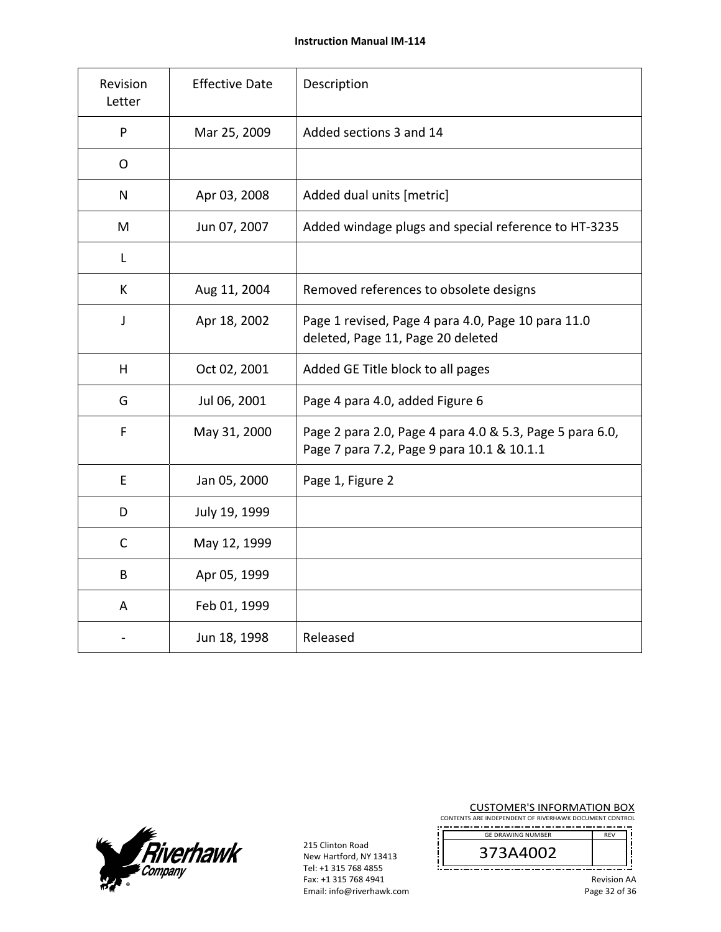| Revision<br>Letter | <b>Effective Date</b> | Description                                                                                            |  |
|--------------------|-----------------------|--------------------------------------------------------------------------------------------------------|--|
| P                  | Mar 25, 2009          | Added sections 3 and 14                                                                                |  |
| O                  |                       |                                                                                                        |  |
| $\mathsf{N}$       | Apr 03, 2008          | Added dual units [metric]                                                                              |  |
| M                  | Jun 07, 2007          | Added windage plugs and special reference to HT-3235                                                   |  |
| L                  |                       |                                                                                                        |  |
| K                  | Aug 11, 2004          | Removed references to obsolete designs                                                                 |  |
| J                  | Apr 18, 2002          | Page 1 revised, Page 4 para 4.0, Page 10 para 11.0<br>deleted, Page 11, Page 20 deleted                |  |
| H                  | Oct 02, 2001          | Added GE Title block to all pages                                                                      |  |
| G                  | Jul 06, 2001          | Page 4 para 4.0, added Figure 6                                                                        |  |
| F                  | May 31, 2000          | Page 2 para 2.0, Page 4 para 4.0 & 5.3, Page 5 para 6.0,<br>Page 7 para 7.2, Page 9 para 10.1 & 10.1.1 |  |
| E                  | Jan 05, 2000          | Page 1, Figure 2                                                                                       |  |
| D                  | July 19, 1999         |                                                                                                        |  |
| C                  | May 12, 1999          |                                                                                                        |  |
| B                  | Apr 05, 1999          |                                                                                                        |  |
| A                  | Feb 01, 1999          |                                                                                                        |  |
|                    | Jun 18, 1998          | Released                                                                                               |  |



215 Clinton Road New Hartford, NY 13413 Tel: +1 315 768 4855 Fax: +1 315 768 4941 Email: info@riverhawk.com

 $\left| \right|$ 

CUSTOMER'S INFORMATION BOX

CONTENTS ARE INDEPENDENT OF RIVERHAWK DOCUMENT CONTROL j

| <b>GE DRAWING NUMBER</b> |  |
|--------------------------|--|
| 373A4002                 |  |
|                          |  |

Ť

ļ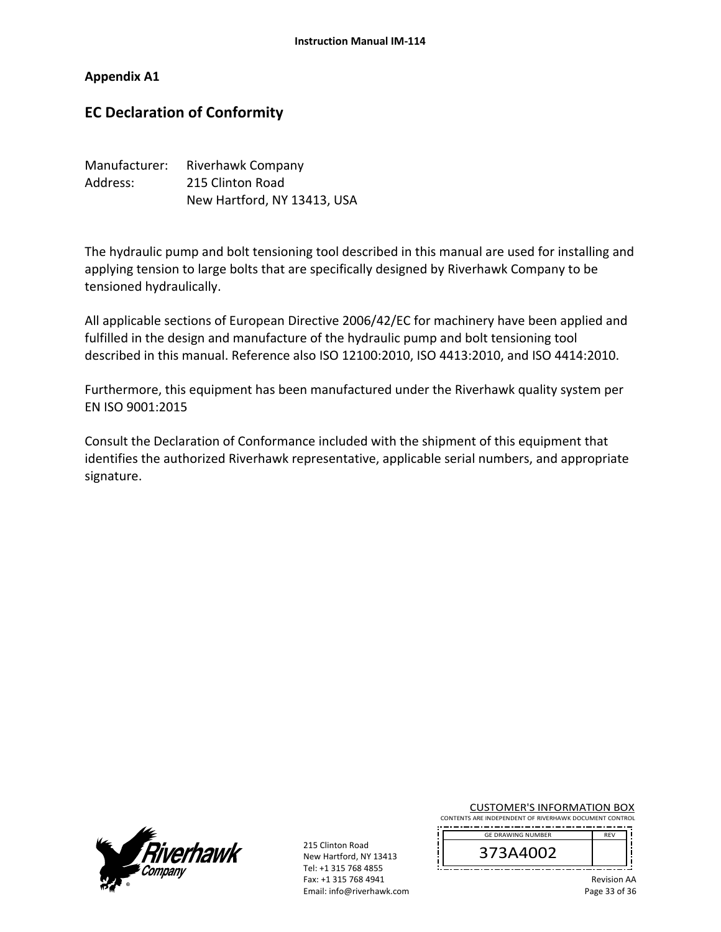#### **Appendix A1**

# **EC Declaration of Conformity**

| Manufacturer: | <b>Riverhawk Company</b>    |
|---------------|-----------------------------|
| Address:      | 215 Clinton Road            |
|               | New Hartford, NY 13413, USA |

The hydraulic pump and bolt tensioning tool described in this manual are used for installing and applying tension to large bolts that are specifically designed by Riverhawk Company to be tensioned hydraulically.

All applicable sections of European Directive 2006/42/EC for machinery have been applied and fulfilled in the design and manufacture of the hydraulic pump and bolt tensioning tool described in this manual. Reference also ISO 12100:2010, ISO 4413:2010, and ISO 4414:2010.

Furthermore, this equipment has been manufactured under the Riverhawk quality system per EN ISO 9001:2015

Consult the Declaration of Conformance included with the shipment of this equipment that identifies the authorized Riverhawk representative, applicable serial numbers, and appropriate signature.



215 Clinton Road New Hartford, NY 13413 Tel: +1 315 768 4855 Fax: +1 315 768 4941 Email: info@riverhawk.com CUSTOMER'S INFORMATION BOX

CONTENTS ARE INDEPENDENT OF RIVERHAWK DOCUMENT CONTROL 

| <b>GF DRAWING NUMBER</b> |  |
|--------------------------|--|
| 373A4002                 |  |
|                          |  |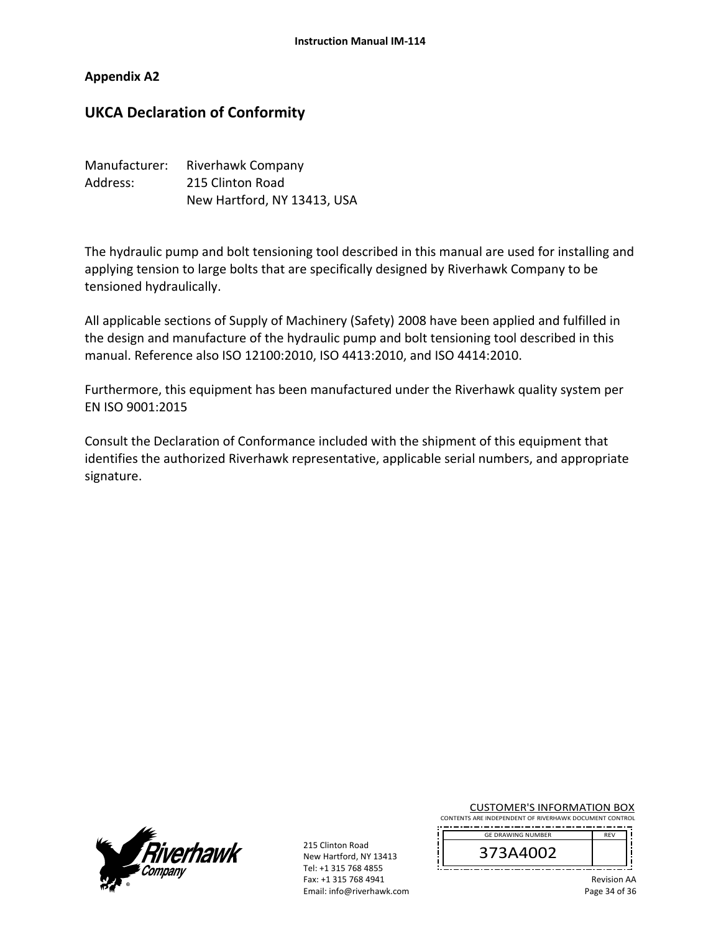#### **Appendix A2**

# **UKCA Declaration of Conformity**

| Manufacturer: | <b>Riverhawk Company</b>    |
|---------------|-----------------------------|
| Address:      | 215 Clinton Road            |
|               | New Hartford, NY 13413, USA |

The hydraulic pump and bolt tensioning tool described in this manual are used for installing and applying tension to large bolts that are specifically designed by Riverhawk Company to be tensioned hydraulically.

All applicable sections of Supply of Machinery (Safety) 2008 have been applied and fulfilled in the design and manufacture of the hydraulic pump and bolt tensioning tool described in this manual. Reference also ISO 12100:2010, ISO 4413:2010, and ISO 4414:2010.

Furthermore, this equipment has been manufactured under the Riverhawk quality system per EN ISO 9001:2015

Consult the Declaration of Conformance included with the shipment of this equipment that identifies the authorized Riverhawk representative, applicable serial numbers, and appropriate signature.



215 Clinton Road New Hartford, NY 13413 Tel: +1 315 768 4855 Fax: +1 315 768 4941 Email: info@riverhawk.com CUSTOMER'S INFORMATION BOX

CONTENTS ARE INDEPENDENT OF RIVERHAWK DOCUMENT CONTROL 

| <b>GF DRAWING NUMBER</b> |  |
|--------------------------|--|
| 373A4002                 |  |
|                          |  |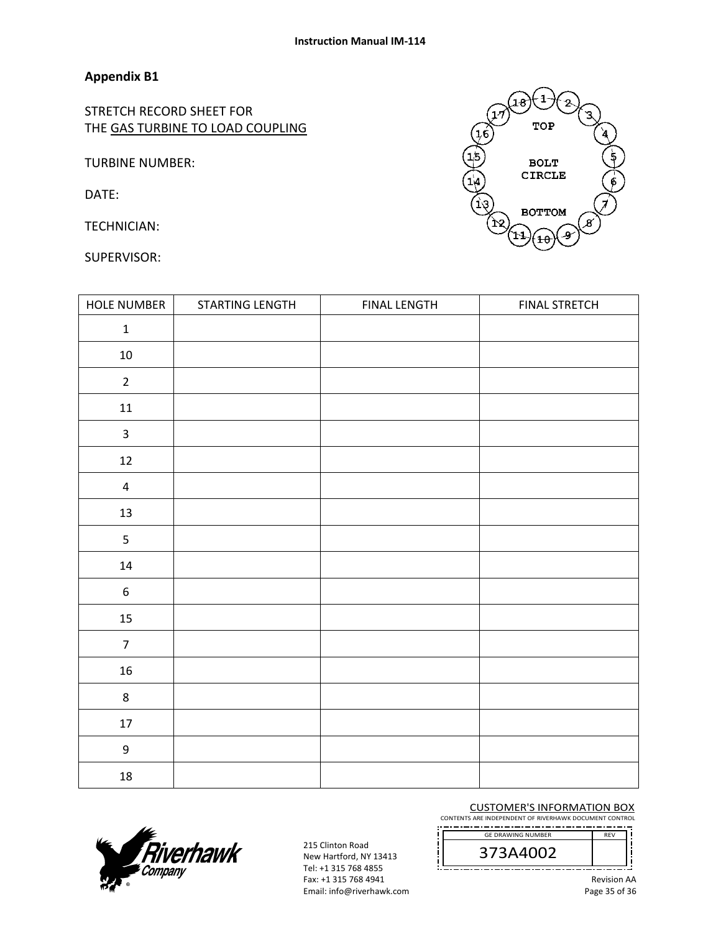**Appendix B1** 

STRETCH RECORD SHEET FOR THE GAS TURBINE TO LOAD COUPLING

TURBINE NUMBER:

DATE:

TECHNICIAN:

SUPERVISOR:



| <b>HOLE NUMBER</b> | STARTING LENGTH | <b>FINAL LENGTH</b> | <b>FINAL STRETCH</b> |
|--------------------|-----------------|---------------------|----------------------|
| $\mathbf 1$        |                 |                     |                      |
| $10\,$             |                 |                     |                      |
| $\overline{2}$     |                 |                     |                      |
| $11\,$             |                 |                     |                      |
| $\mathbf{3}$       |                 |                     |                      |
| $12\,$             |                 |                     |                      |
| $\pmb{4}$          |                 |                     |                      |
| 13                 |                 |                     |                      |
| 5                  |                 |                     |                      |
| $14\,$             |                 |                     |                      |
| $\boldsymbol{6}$   |                 |                     |                      |
| 15                 |                 |                     |                      |
| $\boldsymbol{7}$   |                 |                     |                      |
| $16\,$             |                 |                     |                      |
| $\bf 8$            |                 |                     |                      |
| $17\,$             |                 |                     |                      |
| 9                  |                 |                     |                      |
| $18\,$             |                 |                     |                      |



215 Clinton Road New Hartford, NY 13413 Tel: +1 315 768 4855 Fax: +1 315 768 4941 Email: info@riverhawk.com

İ.

CUSTOMER'S INFORMATION BOX

CONTENTS ARE INDEPENDENT OF RIVERHAWK DOCUMENT CONTROL REV GE DRAWING NUMBER

373A4002